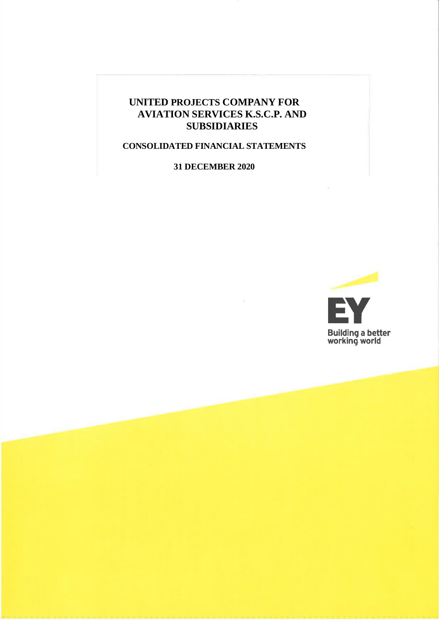### **UNITED PROJECTS COMPANY FOR AVIATION SERVICES K.S.C.P. AND SUBSIDIARIES**

### **CONSOLIDATED FINANCIAL STATEMENTS**

### **31 DECEMBER 2020**

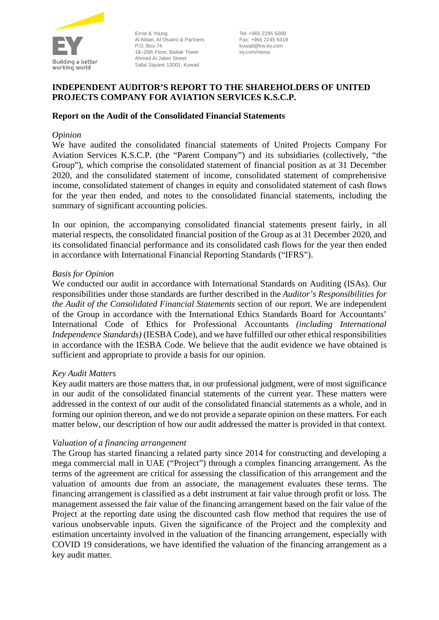

Ernst & Young Al Aiban, Al Osaimi & Partners P.O. Box 74 18–20th Floor, Baitak Tower Ahmed Al Jaber Street Safat Square 13001, Kuwait

### **INDEPENDENT AUDITOR'S REPORT TO THE SHAREHOLDERS OF UNITED PROJECTS COMPANY FOR AVIATION SERVICES K.S.C.P.**

#### **Report on the Audit of the Consolidated Financial Statements**

#### *Opinion*

We have audited the consolidated financial statements of United Projects Company For Aviation Services K.S.C.P. (the "Parent Company") and its subsidiaries (collectively, "the Group"), which comprise the consolidated statement of financial position as at 31 December 2020, and the consolidated statement of income, consolidated statement of comprehensive income, consolidated statement of changes in equity and consolidated statement of cash flows for the year then ended, and notes to the consolidated financial statements, including the summary of significant accounting policies.

In our opinion, the accompanying consolidated financial statements present fairly, in all material respects, the consolidated financial position of the Group as at 31 December 2020, and its consolidated financial performance and its consolidated cash flows for the year then ended in accordance with International Financial Reporting Standards ("IFRS").

#### *Basis for Opinion*

We conducted our audit in accordance with International Standards on Auditing (ISAs). Our responsibilities under those standards are further described in the *Auditor's Responsibilities for the Audit of the Consolidated Financial Statements* section of our report. We are independent of the Group in accordance with the International Ethics Standards Board for Accountants' International Code of Ethics for Professional Accountants *(including International Independence Standards)* (IESBA Code), and we have fulfilled our other ethical responsibilities in accordance with the IESBA Code. We believe that the audit evidence we have obtained is sufficient and appropriate to provide a basis for our opinion.

#### *Key Audit Matters*

Key audit matters are those matters that, in our professional judgment, were of most significance in our audit of the consolidated financial statements of the current year. These matters were addressed in the context of our audit of the consolidated financial statements as a whole, and in forming our opinion thereon, and we do not provide a separate opinion on these matters. For each matter below, our description of how our audit addressed the matter is provided in that context.

#### *Valuation of a financing arrangement*

The Group has started financing a related party since 2014 for constructing and developing a mega commercial mall in UAE ("Project") through a complex financing arrangement. As the terms of the agreement are critical for assessing the classification of this arrangement and the valuation of amounts due from an associate, the management evaluates these terms. The financing arrangement is classified as a debt instrument at fair value through profit or loss. The management assessed the fair value of the financing arrangement based on the fair value of the Project at the reporting date using the discounted cash flow method that requires the use of various unobservable inputs. Given the significance of the Project and the complexity and estimation uncertainty involved in the valuation of the financing arrangement, especially with COVID 19 considerations, we have identified the valuation of the financing arrangement as a key audit matter.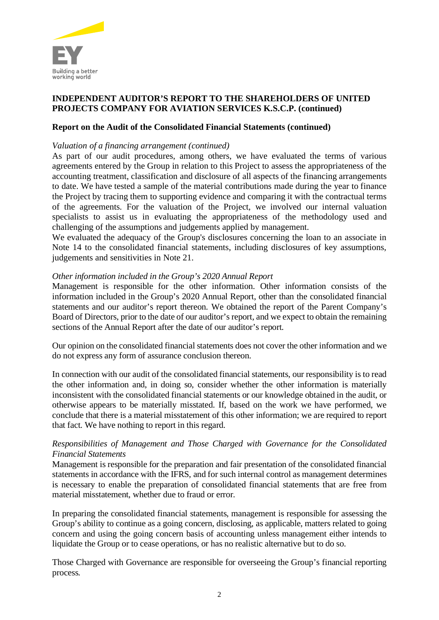

### **INDEPENDENT AUDITOR'S REPORT TO THE SHAREHOLDERS OF UNITED PROJECTS COMPANY FOR AVIATION SERVICES K.S.C.P. (continued)**

#### **Report on the Audit of the Consolidated Financial Statements (continued)**

#### *Valuation of a financing arrangement (continued)*

As part of our audit procedures, among others, we have evaluated the terms of various agreements entered by the Group in relation to this Project to assess the appropriateness of the accounting treatment, classification and disclosure of all aspects of the financing arrangements to date. We have tested a sample of the material contributions made during the year to finance the Project by tracing them to supporting evidence and comparing it with the contractual terms of the agreements. For the valuation of the Project, we involved our internal valuation specialists to assist us in evaluating the appropriateness of the methodology used and challenging of the assumptions and judgements applied by management.

We evaluated the adequacy of the Group's disclosures concerning the loan to an associate in Note 14 to the consolidated financial statements, including disclosures of key assumptions, judgements and sensitivities in Note 21.

#### *Other information included in the Group's 2020 Annual Report*

Management is responsible for the other information. Other information consists of the information included in the Group's 2020 Annual Report, other than the consolidated financial statements and our auditor's report thereon. We obtained the report of the Parent Company's Board of Directors, prior to the date of our auditor's report, and we expect to obtain the remaining sections of the Annual Report after the date of our auditor's report.

Our opinion on the consolidated financial statements does not cover the other information and we do not express any form of assurance conclusion thereon.

In connection with our audit of the consolidated financial statements, our responsibility is to read the other information and, in doing so, consider whether the other information is materially inconsistent with the consolidated financial statements or our knowledge obtained in the audit, or otherwise appears to be materially misstated. If, based on the work we have performed, we conclude that there is a material misstatement of this other information; we are required to report that fact. We have nothing to report in this regard.

#### *Responsibilities of Management and Those Charged with Governance for the Consolidated Financial Statements*

Management is responsible for the preparation and fair presentation of the consolidated financial statements in accordance with the IFRS, and for such internal control as management determines is necessary to enable the preparation of consolidated financial statements that are free from material misstatement, whether due to fraud or error.

In preparing the consolidated financial statements, management is responsible for assessing the Group's ability to continue as a going concern, disclosing, as applicable, matters related to going concern and using the going concern basis of accounting unless management either intends to liquidate the Group or to cease operations, or has no realistic alternative but to do so.

Those Charged with Governance are responsible for overseeing the Group's financial reporting process.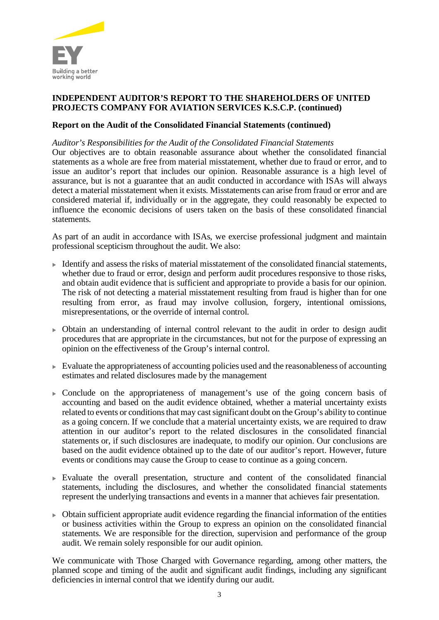

#### **INDEPENDENT AUDITOR'S REPORT TO THE SHAREHOLDERS OF UNITED PROJECTS COMPANY FOR AVIATION SERVICES K.S.C.P. (continued)**

#### **Report on the Audit of the Consolidated Financial Statements (continued)**

#### *Auditor's Responsibilities for the Audit of the Consolidated Financial Statements*

Our objectives are to obtain reasonable assurance about whether the consolidated financial statements as a whole are free from material misstatement, whether due to fraud or error, and to issue an auditor's report that includes our opinion. Reasonable assurance is a high level of assurance, but is not a guarantee that an audit conducted in accordance with ISAs will always detect a material misstatement when it exists. Misstatements can arise from fraud or error and are considered material if, individually or in the aggregate, they could reasonably be expected to influence the economic decisions of users taken on the basis of these consolidated financial statements.

As part of an audit in accordance with ISAs, we exercise professional judgment and maintain professional scepticism throughout the audit. We also:

- $\blacktriangleright$  Identify and assess the risks of material misstatement of the consolidated financial statements, whether due to fraud or error, design and perform audit procedures responsive to those risks, and obtain audit evidence that is sufficient and appropriate to provide a basis for our opinion. The risk of not detecting a material misstatement resulting from fraud is higher than for one resulting from error, as fraud may involve collusion, forgery, intentional omissions, misrepresentations, or the override of internal control.
- $\triangleright$  Obtain an understanding of internal control relevant to the audit in order to design audit procedures that are appropriate in the circumstances, but not for the purpose of expressing an opinion on the effectiveness of the Group's internal control.
- $\triangleright$  Evaluate the appropriateness of accounting policies used and the reasonableness of accounting estimates and related disclosures made by the management
- $\triangleright$  Conclude on the appropriateness of management's use of the going concern basis of accounting and based on the audit evidence obtained, whether a material uncertainty exists related to events or conditions that may cast significant doubt on the Group's ability to continue as a going concern. If we conclude that a material uncertainty exists, we are required to draw attention in our auditor's report to the related disclosures in the consolidated financial statements or, if such disclosures are inadequate, to modify our opinion. Our conclusions are based on the audit evidence obtained up to the date of our auditor's report. However, future events or conditions may cause the Group to cease to continue as a going concern.
- $\triangleright$  Evaluate the overall presentation, structure and content of the consolidated financial statements, including the disclosures, and whether the consolidated financial statements represent the underlying transactions and events in a manner that achieves fair presentation.
- $\triangleright$  Obtain sufficient appropriate audit evidence regarding the financial information of the entities or business activities within the Group to express an opinion on the consolidated financial statements. We are responsible for the direction, supervision and performance of the group audit. We remain solely responsible for our audit opinion.

We communicate with Those Charged with Governance regarding, among other matters, the planned scope and timing of the audit and significant audit findings, including any significant deficiencies in internal control that we identify during our audit.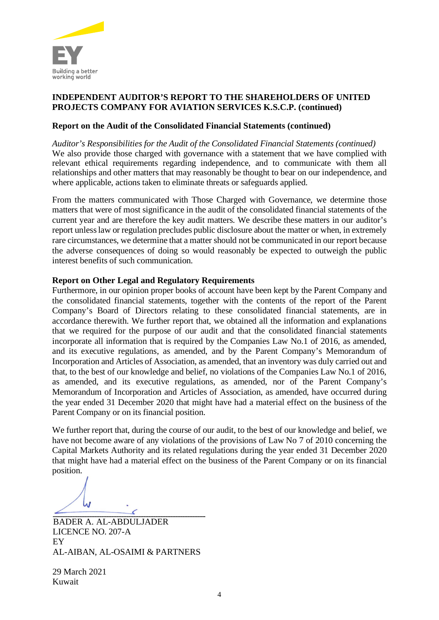

### **INDEPENDENT AUDITOR'S REPORT TO THE SHAREHOLDERS OF UNITED PROJECTS COMPANY FOR AVIATION SERVICES K.S.C.P. (continued)**

#### **Report on the Audit of the Consolidated Financial Statements (continued)**

*Auditor's Responsibilities for the Audit of the Consolidated Financial Statements (continued)* We also provide those charged with governance with a statement that we have complied with relevant ethical requirements regarding independence, and to communicate with them all relationships and other matters that may reasonably be thought to bear on our independence, and where applicable, actions taken to eliminate threats or safeguards applied.

From the matters communicated with Those Charged with Governance, we determine those matters that were of most significance in the audit of the consolidated financial statements of the current year and are therefore the key audit matters. We describe these matters in our auditor's report unless law or regulation precludes public disclosure about the matter or when, in extremely rare circumstances, we determine that a matter should not be communicated in our report because the adverse consequences of doing so would reasonably be expected to outweigh the public interest benefits of such communication.

#### **Report on Other Legal and Regulatory Requirements**

Furthermore, in our opinion proper books of account have been kept by the Parent Company and the consolidated financial statements, together with the contents of the report of the Parent Company's Board of Directors relating to these consolidated financial statements, are in accordance therewith. We further report that, we obtained all the information and explanations that we required for the purpose of our audit and that the consolidated financial statements incorporate all information that is required by the Companies Law No.1 of 2016, as amended, and its executive regulations, as amended, and by the Parent Company's Memorandum of Incorporation and Articles of Association, as amended, that an inventory was duly carried out and that, to the best of our knowledge and belief, no violations of the Companies Law No.1 of 2016, as amended, and its executive regulations, as amended, nor of the Parent Company's Memorandum of Incorporation and Articles of Association, as amended, have occurred during the year ended 31 December 2020 that might have had a material effect on the business of the Parent Company or on its financial position.

We further report that, during the course of our audit, to the best of our knowledge and belief, we have not become aware of any violations of the provisions of Law No 7 of 2010 concerning the Capital Markets Authority and its related regulations during the year ended 31 December 2020 that might have had a material effect on the business of the Parent Company or on its financial position.

BADER A. AL-ABDULJADER LICENCE NO. 207-A EY AL-AIBAN, AL-OSAIMI & PARTNERS

29 March 2021 Kuwait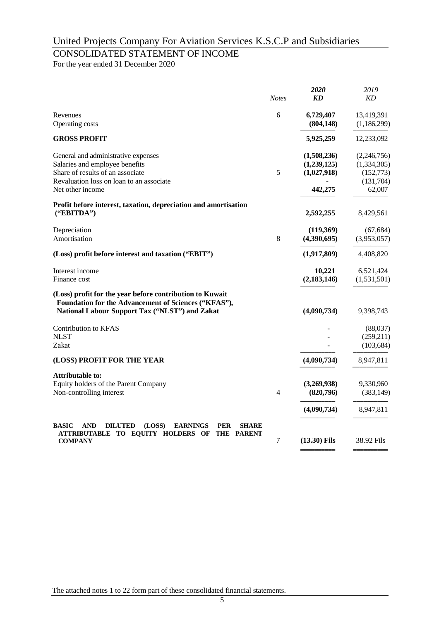### CONSOLIDATED STATEMENT OF INCOME

For the year ended 31 December 2020

|                                                                                                                                                                             | <b>Notes</b> | 2020<br>KD                                           | 2019<br><b>KD</b>                                               |
|-----------------------------------------------------------------------------------------------------------------------------------------------------------------------------|--------------|------------------------------------------------------|-----------------------------------------------------------------|
| Revenues<br>Operating costs                                                                                                                                                 | 6            | 6,729,407<br>(804, 148)                              | 13,419,391<br>(1,186,299)                                       |
| <b>GROSS PROFIT</b>                                                                                                                                                         |              | 5,925,259                                            | 12,233,092                                                      |
| General and administrative expenses<br>Salaries and employee benefits<br>Share of results of an associate<br>Revaluation loss on loan to an associate<br>Net other income   | 5            | (1,508,236)<br>(1,239,125)<br>(1,027,918)<br>442,275 | (2,246,756)<br>(1,334,305)<br>(152, 773)<br>(131,704)<br>62,007 |
| Profit before interest, taxation, depreciation and amortisation<br>("EBITDA")                                                                                               |              | 2,592,255                                            | 8,429,561                                                       |
| Depreciation<br>Amortisation                                                                                                                                                | $8\,$        | (119,369)<br>(4,390,695)                             | (67, 684)<br>(3,953,057)                                        |
| (Loss) profit before interest and taxation ("EBIT")                                                                                                                         |              | (1,917,809)                                          | 4,408,820                                                       |
| Interest income<br>Finance cost                                                                                                                                             |              | 10,221<br>(2, 183, 146)                              | 6,521,424<br>(1,531,501)                                        |
| (Loss) profit for the year before contribution to Kuwait<br>Foundation for the Advancement of Sciences ("KFAS"),<br>National Labour Support Tax ("NLST") and Zakat          |              | (4,090,734)                                          | 9,398,743                                                       |
| <b>Contribution to KFAS</b><br><b>NLST</b><br>Zakat                                                                                                                         |              |                                                      | (88,037)<br>(259,211)<br>(103, 684)                             |
| (LOSS) PROFIT FOR THE YEAR                                                                                                                                                  |              | (4,090,734)                                          | 8,947,811                                                       |
| Attributable to:<br>Equity holders of the Parent Company<br>Non-controlling interest                                                                                        | 4            | (3,269,938)<br>(820,796)                             | 9,330,960<br>(383, 149)                                         |
|                                                                                                                                                                             |              | (4,090,734)                                          | 8,947,811                                                       |
| BASIC<br>(LOSS)<br><b>EARNINGS</b><br>AND<br><b>DILUTED</b><br><b>PER</b><br><b>SHARE</b><br>ATTRIBUTABLE<br>TO EQUITY HOLDERS OF<br><b>PARENT</b><br>THE<br><b>COMPANY</b> | 7            | $(13.30)$ Fils                                       | 38.92 Fils                                                      |
|                                                                                                                                                                             |              |                                                      |                                                                 |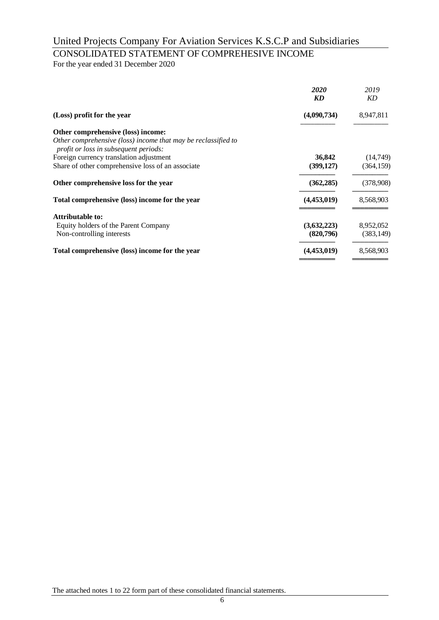# CONSOLIDATED STATEMENT OF COMPREHESIVE INCOME

For the year ended 31 December 2020

|                                                                                                                                              | 2020<br>KD  | 2019<br>KD |
|----------------------------------------------------------------------------------------------------------------------------------------------|-------------|------------|
| (Loss) profit for the year                                                                                                                   | (4,090,734) | 8,947,811  |
| Other comprehensive (loss) income:<br>Other comprehensive (loss) income that may be reclassified to<br>profit or loss in subsequent periods: |             |            |
| Foreign currency translation adjustment                                                                                                      | 36,842      | (14,749)   |
| Share of other comprehensive loss of an associate                                                                                            | (399, 127)  | (364, 159) |
| Other comprehensive loss for the year                                                                                                        | (362, 285)  | (378,908)  |
| Total comprehensive (loss) income for the year                                                                                               | (4,453,019) | 8,568,903  |
| <b>Attributable to:</b>                                                                                                                      |             |            |
| Equity holders of the Parent Company                                                                                                         | (3,632,223) | 8,952,052  |
| Non-controlling interests                                                                                                                    | (820,796)   | (383, 149) |
| Total comprehensive (loss) income for the year                                                                                               | (4,453,019) | 8,568,903  |
|                                                                                                                                              |             |            |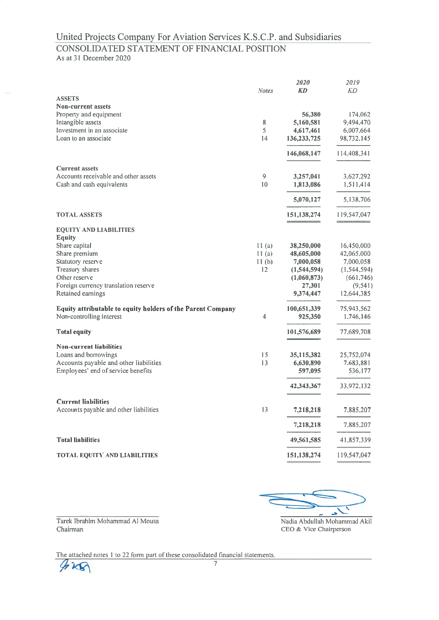# CONSOLIDATED STATEMENT OF FINANCIAL POSITION

As at 31 December 2020

|                                                             | Notes       | 2020<br><b>KD</b>          | 2019<br><b>KD</b>          |
|-------------------------------------------------------------|-------------|----------------------------|----------------------------|
| <b>ASSETS</b>                                               |             |                            |                            |
| <b>Non-current assets</b><br>Property and equipment         |             | 56,380                     | 174,062                    |
| Intangible assets                                           | 8           | 5,160,581                  | 9,494,470                  |
| Investment in an associate                                  | 5           | 4,617,461                  | 6,007,664                  |
| Loan to an associate                                        | 14          | 136,233,725                | 98,732,145                 |
|                                                             |             | 146,068,147                | 114,408,341                |
| <b>Current assets</b>                                       |             |                            |                            |
| Accounts receivable and other assets                        | 9           | 3,257,041                  | 3,627,292                  |
| Cash and cash equivalents                                   | 10          | 1,813,086                  | 1,511,414                  |
|                                                             |             | 5,070,127                  | 5,138,706                  |
| <b>TOTAL ASSETS</b>                                         |             | 151, 138, 274              | 119,547,047                |
| <b>EQUITY AND LIABILITIES</b>                               |             |                            |                            |
| Equity                                                      |             |                            |                            |
| Share capital                                               | 11(a)       | 38,250,000                 | 16,450,000                 |
| Share premium                                               | 11(a)       | 48,605,000                 | 42,065,000                 |
| Statutory reserve<br>Treasury shares                        | 11(b)<br>12 | 7,000,058                  | 7,000,058<br>(1, 544, 594) |
| Other reserve                                               |             | (1,544,594)<br>(1,060,873) | (661,746)                  |
| Foreign currency translation reserve                        |             | 27,301                     | (9, 541)                   |
| Retained earnings                                           |             | 9,374,447                  | 12,644,385                 |
| Equity attributable to equity holders of the Parent Company |             | 100,651,339                | 75,943,562                 |
| Non-controlling interest                                    | 4           | 925,350                    | 1,746,146                  |
| <b>Total equity</b>                                         |             | 101,576,689                | 77,689,708                 |
| <b>Non-current liabilities</b>                              |             |                            |                            |
| Loans and borrowings                                        | 15          | 35,115,382                 | 25,752,074                 |
| Accounts payable and other liabilities                      | 13          | 6,630,890                  | 7,683,881                  |
| Employees' end of service benefits                          |             | 597,095                    | 536,177                    |
|                                                             |             | 42,343,367                 | 33,972,132                 |
| <b>Current liabilities</b>                                  |             |                            |                            |
| Accounts payable and other liabilities                      | 13          | 7,218,218                  | 7,885,207                  |
|                                                             |             | 7,218,218                  | 7,885,207                  |
| <b>Total liabilities</b>                                    |             | 49,561,585                 | 41,857,339                 |
| TOTAL EQUITY AND LIABILITIES                                |             | 151,138,274                | 119,547,047                |

Nadia Abdullah Mohammad Akil CEO & Vice Chairperson

Tarek Ibrahim Mohammad Al Mousa Chairman

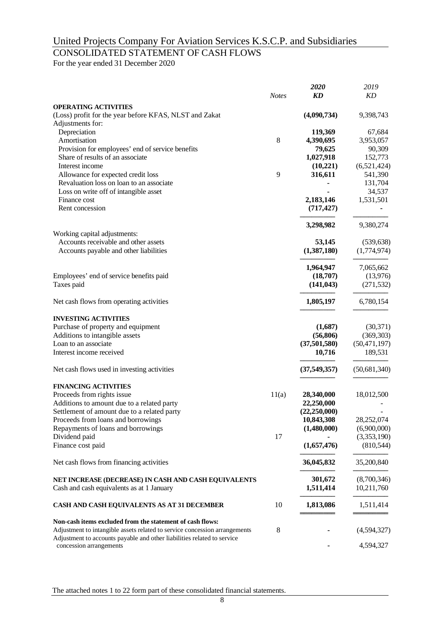### CONSOLIDATED STATEMENT OF CASH FLOWS

For the year ended 31 December 2020

|                                                                                                                                                       | <b>Notes</b> | 2020<br><b>KD</b> | 2019<br><b>KD</b> |
|-------------------------------------------------------------------------------------------------------------------------------------------------------|--------------|-------------------|-------------------|
| <b>OPERATING ACTIVITIES</b>                                                                                                                           |              |                   |                   |
| (Loss) profit for the year before KFAS, NLST and Zakat                                                                                                |              | (4,090,734)       | 9,398,743         |
| Adjustments for:                                                                                                                                      |              |                   |                   |
| Depreciation                                                                                                                                          |              | 119,369           | 67,684            |
| Amortisation                                                                                                                                          | $8\,$        | 4,390,695         | 3,953,057         |
| Provision for employees' end of service benefits                                                                                                      |              | 79,625            | 90,309            |
| Share of results of an associate                                                                                                                      |              | 1,027,918         | 152,773           |
| Interest income                                                                                                                                       |              | (10,221)          | (6,521,424)       |
| Allowance for expected credit loss                                                                                                                    | 9            | 316,611           | 541,390           |
| Revaluation loss on loan to an associate                                                                                                              |              |                   | 131,704           |
| Loss on write off of intangible asset                                                                                                                 |              |                   | 34,537            |
| Finance cost                                                                                                                                          |              | 2,183,146         | 1,531,501         |
| Rent concession                                                                                                                                       |              | (717, 427)        |                   |
|                                                                                                                                                       |              | 3,298,982         | 9,380,274         |
| Working capital adjustments:                                                                                                                          |              |                   |                   |
| Accounts receivable and other assets                                                                                                                  |              | 53,145            | (539, 638)        |
| Accounts payable and other liabilities                                                                                                                |              | (1,387,180)       | (1,774,974)       |
|                                                                                                                                                       |              | 1,964,947         | 7,065,662         |
| Employees' end of service benefits paid                                                                                                               |              | (18,707)          | (13,976)          |
| Taxes paid                                                                                                                                            |              | (141, 043)        | (271, 532)        |
| Net cash flows from operating activities                                                                                                              |              | 1,805,197         | 6,780,154         |
| <b>INVESTING ACTIVITIES</b>                                                                                                                           |              |                   |                   |
| Purchase of property and equipment                                                                                                                    |              | (1,687)           | (30,371)          |
| Additions to intangible assets                                                                                                                        |              | (56,806)          | (369, 303)        |
| Loan to an associate                                                                                                                                  |              | (37,501,580)      | (50, 471, 197)    |
| Interest income received                                                                                                                              |              | 10,716            | 189,531           |
| Net cash flows used in investing activities                                                                                                           |              | (37,549,357)      | (50,681,340)      |
| <b>FINANCING ACTIVITIES</b>                                                                                                                           |              |                   |                   |
| Proceeds from rights issue                                                                                                                            | 11(a)        | 28,340,000        | 18,012,500        |
| Additions to amount due to a related party                                                                                                            |              | 22,250,000        |                   |
| Settlement of amount due to a related party                                                                                                           |              | (22, 250, 000)    |                   |
| Proceeds from loans and borrowings                                                                                                                    |              | 10,843,308        | 28,252,074        |
| Repayments of loans and borrowings                                                                                                                    |              | (1,480,000)       | (6,900,000)       |
| Dividend paid                                                                                                                                         | 17           |                   | (3,353,190)       |
| Finance cost paid                                                                                                                                     |              | (1,657,476)       | (810, 544)        |
| Net cash flows from financing activities                                                                                                              |              | 36,045,832        | 35,200,840        |
| NET INCREASE (DECREASE) IN CASH AND CASH EQUIVALENTS                                                                                                  |              | 301,672           | (8,700,346)       |
| Cash and cash equivalents as at 1 January                                                                                                             |              | 1,511,414         | 10,211,760        |
| CASH AND CASH EQUIVALENTS AS AT 31 DECEMBER                                                                                                           | 10           | 1,813,086         | 1,511,414         |
| Non-cash items excluded from the statement of cash flows:                                                                                             |              |                   |                   |
| Adjustment to intangible assets related to service concession arrangements<br>Adjustment to accounts payable and other liabilities related to service | 8            |                   | (4,594,327)       |
| concession arrangements                                                                                                                               |              |                   | 4,594,327         |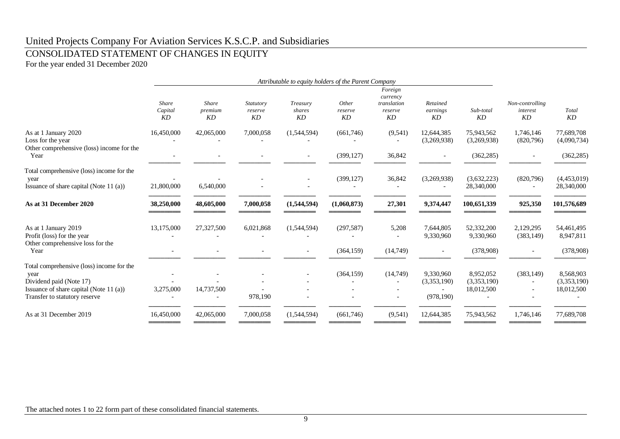# CONSOLIDATED STATEMENT OF CHANGES IN EQUITY

For the year ended 31 December 2020

|                                                                                              | Attributable to equity holders of the Parent Company |                               |                            |                          |                        |                                                     |                            |                           |                                   |                           |
|----------------------------------------------------------------------------------------------|------------------------------------------------------|-------------------------------|----------------------------|--------------------------|------------------------|-----------------------------------------------------|----------------------------|---------------------------|-----------------------------------|---------------------------|
|                                                                                              | <b>Share</b><br>Capital<br>KD                        | <b>Share</b><br>premium<br>KD | Statutory<br>reserve<br>KD | Treasury<br>shares<br>KD | Other<br>reserve<br>KD | Foreign<br>currency<br>translation<br>reserve<br>KD | Retained<br>earnings<br>KD | Sub-total<br>KD           | Non-controlling<br>interest<br>KD | Total<br>KD               |
| As at 1 January 2020<br>Loss for the year<br>Other comprehensive (loss) income for the       | 16,450,000                                           | 42,065,000                    | 7,000,058                  | (1,544,594)              | (661,746)              | (9, 541)                                            | 12,644,385<br>(3,269,938)  | 75,943,562<br>(3,269,938) | 1,746,146<br>(820,796)            | 77,689,708<br>(4,090,734) |
| Year                                                                                         |                                                      |                               |                            |                          | (399, 127)             | 36,842                                              |                            | (362, 285)                |                                   | (362, 285)                |
| Total comprehensive (loss) income for the<br>year<br>Issuance of share capital (Note 11 (a)) | 21,800,000                                           | 6,540,000                     |                            |                          | (399, 127)             | 36,842                                              | (3,269,938)                | (3,632,223)<br>28,340,000 | (820,796)                         | (4,453,019)<br>28,340,000 |
| As at 31 December 2020                                                                       | 38,250,000                                           | 48,605,000                    | 7,000,058                  | (1,544,594)              | (1,060,873)            | 27,301                                              | 9,374,447                  | 100,651,339               | 925,350                           | 101,576,689               |
| As at 1 January 2019<br>Profit (loss) for the year<br>Other comprehensive loss for the       | 13,175,000                                           | 27,327,500                    | 6,021,868                  | (1,544,594)              | (297, 587)             | 5,208                                               | 7,644,805<br>9,330,960     | 52,332,200<br>9,330,960   | 2,129,295<br>(383, 149)           | 54,461,495<br>8,947,811   |
| Year                                                                                         |                                                      |                               |                            |                          | (364, 159)             | (14, 749)                                           | $\overline{\phantom{a}}$   | (378,908)                 |                                   | (378,908)                 |
| Total comprehensive (loss) income for the                                                    |                                                      |                               |                            |                          |                        |                                                     |                            |                           |                                   |                           |
| year                                                                                         |                                                      |                               |                            |                          | (364, 159)             | (14,749)                                            | 9,330,960                  | 8,952,052                 | (383, 149)                        | 8,568,903                 |
| Dividend paid (Note 17)                                                                      | 3,275,000                                            | 14,737,500                    |                            |                          |                        |                                                     | (3,353,190)                | (3,353,190)               | $\overline{\phantom{a}}$          | (3,353,190)               |
| Issuance of share capital (Note 11 (a))<br>Transfer to statutory reserve                     |                                                      |                               | 978,190                    |                          |                        |                                                     | (978, 190)                 | 18,012,500                |                                   | 18,012,500                |
| As at 31 December 2019                                                                       | 16,450,000                                           | 42,065,000                    | 7,000,058                  | (1,544,594)              | (661,746)              | (9, 541)                                            | 12,644,385                 | 75,943,562                | 1,746,146                         | 77,689,708                |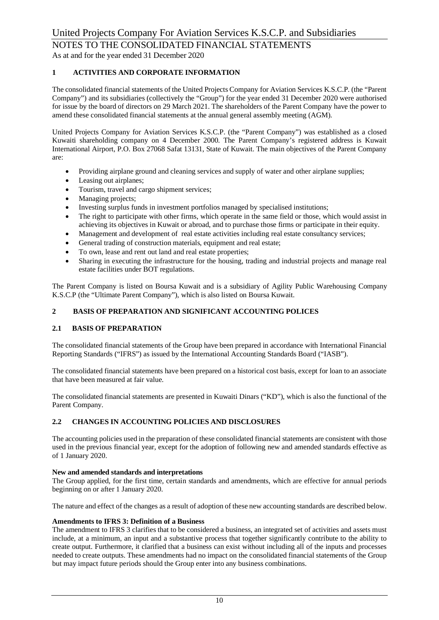As at and for the year ended 31 December 2020

#### **1 ACTIVITIES AND CORPORATE INFORMATION**

The consolidated financial statements of the United Projects Company for Aviation Services K.S.C.P. (the "Parent Company") and its subsidiaries (collectively the "Group") for the year ended 31 December 2020 were authorised for issue by the board of directors on 29 March 2021. The shareholders of the Parent Company have the power to amend these consolidated financial statements at the annual general assembly meeting (AGM).

United Projects Company for Aviation Services K.S.C.P. (the "Parent Company") was established as a closed Kuwaiti shareholding company on 4 December 2000. The Parent Company's registered address is Kuwait International Airport, P.O. Box 27068 Safat 13131, State of Kuwait. The main objectives of the Parent Company are:

- Providing airplane ground and cleaning services and supply of water and other airplane supplies;
- Leasing out airplanes;
- · Tourism, travel and cargo shipment services;
- Managing projects;
- · Investing surplus funds in investment portfolios managed by specialised institutions;
- The right to participate with other firms, which operate in the same field or those, which would assist in achieving its objectives in Kuwait or abroad, and to purchase those firms or participate in their equity.
- · Management and development of real estate activities including real estate consultancy services;
- General trading of construction materials, equipment and real estate;
- To own, lease and rent out land and real estate properties;
- · Sharing in executing the infrastructure for the housing, trading and industrial projects and manage real estate facilities under BOT regulations.

The Parent Company is listed on Boursa Kuwait and is a subsidiary of Agility Public Warehousing Company K.S.C.P (the "Ultimate Parent Company"), which is also listed on Boursa Kuwait.

#### **2 BASIS OF PREPARATION AND SIGNIFICANT ACCOUNTING POLICES**

#### **2.1 BASIS OF PREPARATION**

The consolidated financial statements of the Group have been prepared in accordance with International Financial Reporting Standards ("IFRS") as issued by the International Accounting Standards Board ("IASB").

The consolidated financial statements have been prepared on a historical cost basis, except for loan to an associate that have been measured at fair value.

The consolidated financial statements are presented in Kuwaiti Dinars ("KD"), which is also the functional of the Parent Company.

#### **2.2 CHANGES IN ACCOUNTING POLICIES AND DISCLOSURES**

The accounting policies used in the preparation of these consolidated financial statements are consistent with those used in the previous financial year, except for the adoption of following new and amended standards effective as of 1 January 2020.

#### **New and amended standards and interpretations**

The Group applied, for the first time, certain standards and amendments, which are effective for annual periods beginning on or after 1 January 2020.

The nature and effect of the changes as a result of adoption of these new accounting standards are described below.

#### **Amendments to IFRS 3: Definition of a Business**

The amendment to IFRS 3 clarifies that to be considered a business, an integrated set of activities and assets must include, at a minimum, an input and a substantive process that together significantly contribute to the ability to create output. Furthermore, it clarified that a business can exist without including all of the inputs and processes needed to create outputs. These amendments had no impact on the consolidated financial statements of the Group but may impact future periods should the Group enter into any business combinations.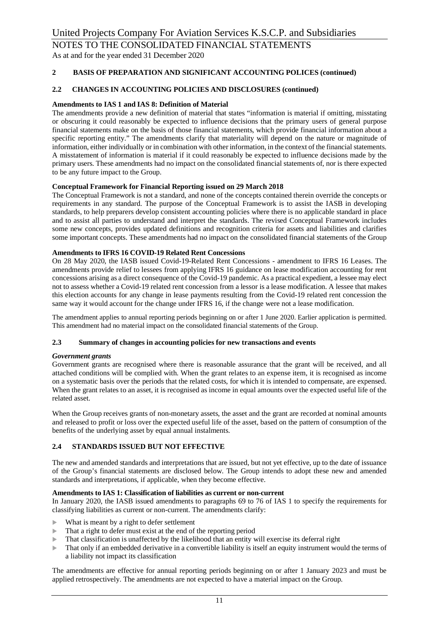As at and for the year ended 31 December 2020

#### **2 BASIS OF PREPARATION AND SIGNIFICANT ACCOUNTING POLICES (continued)**

#### **2.2 CHANGES IN ACCOUNTING POLICIES AND DISCLOSURES (continued)**

#### **Amendments to IAS 1 and IAS 8: Definition of Material**

The amendments provide a new definition of material that states "information is material if omitting, misstating or obscuring it could reasonably be expected to influence decisions that the primary users of general purpose financial statements make on the basis of those financial statements, which provide financial information about a specific reporting entity." The amendments clarify that materiality will depend on the nature or magnitude of information, either individually or in combination with other information, in the context of the financial statements. A misstatement of information is material if it could reasonably be expected to influence decisions made by the primary users. These amendments had no impact on the consolidated financial statements of, nor is there expected to be any future impact to the Group.

#### **Conceptual Framework for Financial Reporting issued on 29 March 2018**

The Conceptual Framework is not a standard, and none of the concepts contained therein override the concepts or requirements in any standard. The purpose of the Conceptual Framework is to assist the IASB in developing standards, to help preparers develop consistent accounting policies where there is no applicable standard in place and to assist all parties to understand and interpret the standards. The revised Conceptual Framework includes some new concepts, provides updated definitions and recognition criteria for assets and liabilities and clarifies some important concepts. These amendments had no impact on the consolidated financial statements of the Group

#### **Amendments to IFRS 16 COVID-19 Related Rent Concessions**

On 28 May 2020, the IASB issued Covid-19-Related Rent Concessions - amendment to IFRS 16 Leases. The amendments provide relief to lessees from applying IFRS 16 guidance on lease modification accounting for rent concessions arising as a direct consequence of the Covid-19 pandemic. As a practical expedient, a lessee may elect not to assess whether a Covid-19 related rent concession from a lessor is a lease modification. A lessee that makes this election accounts for any change in lease payments resulting from the Covid-19 related rent concession the same way it would account for the change under IFRS 16, if the change were not a lease modification.

The amendment applies to annual reporting periods beginning on or after 1 June 2020. Earlier application is permitted. This amendment had no material impact on the consolidated financial statements of the Group.

#### **2.3 Summary of changes in accounting policies for new transactions and events**

#### *Government grants*

Government grants are recognised where there is reasonable assurance that the grant will be received, and all attached conditions will be complied with. When the grant relates to an expense item, it is recognised as income on a systematic basis over the periods that the related costs, for which it is intended to compensate, are expensed. When the grant relates to an asset, it is recognised as income in equal amounts over the expected useful life of the related asset.

When the Group receives grants of non-monetary assets, the asset and the grant are recorded at nominal amounts and released to profit or loss over the expected useful life of the asset, based on the pattern of consumption of the benefits of the underlying asset by equal annual instalments.

#### **2.4 STANDARDS ISSUED BUT NOT EFFECTIVE**

The new and amended standards and interpretations that are issued, but not yet effective, up to the date of issuance of the Group's financial statements are disclosed below. The Group intends to adopt these new and amended standards and interpretations, if applicable, when they become effective.

#### **Amendments to IAS 1: Classification of liabilities as current or non-current**

In January 2020, the IASB issued amendments to paragraphs 69 to 76 of IAS 1 to specify the requirements for classifying liabilities as current or non-current. The amendments clarify:

- $\blacktriangleright$  What is meant by a right to defer settlement
- $\blacktriangleright$  That a right to defer must exist at the end of the reporting period
- $\blacktriangleright$  That classification is unaffected by the likelihood that an entity will exercise its deferral right
- $\blacktriangleright$  That only if an embedded derivative in a convertible liability is itself an equity instrument would the terms of a liability not impact its classification

The amendments are effective for annual reporting periods beginning on or after 1 January 2023 and must be applied retrospectively. The amendments are not expected to have a material impact on the Group.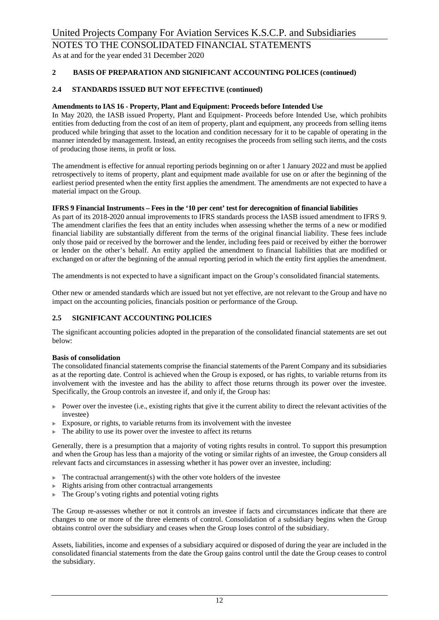#### NOTES TO THE CONSOLIDATED FINANCIAL STATEMENTS As at and for the year ended 31 December 2020

#### **2 BASIS OF PREPARATION AND SIGNIFICANT ACCOUNTING POLICES (continued)**

#### **2.4 STANDARDS ISSUED BUT NOT EFFECTIVE (continued)**

#### **Amendments to IAS 16 - Property, Plant and Equipment: Proceeds before Intended Use**

In May 2020, the IASB issued Property, Plant and Equipment- Proceeds before Intended Use, which prohibits entities from deducting from the cost of an item of property, plant and equipment, any proceeds from selling items produced while bringing that asset to the location and condition necessary for it to be capable of operating in the manner intended by management. Instead, an entity recognises the proceeds from selling such items, and the costs of producing those items, in profit or loss.

The amendment is effective for annual reporting periods beginning on or after 1 January 2022 and must be applied retrospectively to items of property, plant and equipment made available for use on or after the beginning of the earliest period presented when the entity first applies the amendment. The amendments are not expected to have a material impact on the Group.

#### **IFRS 9 Financial Instruments – Fees in the '10 per cent' test for derecognition of financial liabilities**

As part of its 2018-2020 annual improvements to IFRS standards process the IASB issued amendment to IFRS 9. The amendment clarifies the fees that an entity includes when assessing whether the terms of a new or modified financial liability are substantially different from the terms of the original financial liability. These fees include only those paid or received by the borrower and the lender, including fees paid or received by either the borrower or lender on the other's behalf. An entity applied the amendment to financial liabilities that are modified or exchanged on or after the beginning of the annual reporting period in which the entity first applies the amendment.

The amendments is not expected to have a significant impact on the Group's consolidated financial statements.

Other new or amended standards which are issued but not yet effective, are not relevant to the Group and have no impact on the accounting policies, financials position or performance of the Group.

#### **2.5 SIGNIFICANT ACCOUNTING POLICIES**

The significant accounting policies adopted in the preparation of the consolidated financial statements are set out below:

#### **Basis of consolidation**

The consolidated financial statements comprise the financial statements of the Parent Company and its subsidiaries as at the reporting date. Control is achieved when the Group is exposed, or has rights, to variable returns from its involvement with the investee and has the ability to affect those returns through its power over the investee. Specifically, the Group controls an investee if, and only if, the Group has:

- Power over the investee (i.e., existing rights that give it the current ability to direct the relevant activities of the investee)
- $\blacktriangleright$  Exposure, or rights, to variable returns from its involvement with the investee
- $\blacktriangleright$  The ability to use its power over the investee to affect its returns

Generally, there is a presumption that a majority of voting rights results in control. To support this presumption and when the Group has less than a majority of the voting or similar rights of an investee, the Group considers all relevant facts and circumstances in assessing whether it has power over an investee, including:

- $\blacktriangleright$  The contractual arrangement(s) with the other vote holders of the investee
- Rights arising from other contractual arrangements
- $\blacktriangleright$  The Group's voting rights and potential voting rights

The Group re-assesses whether or not it controls an investee if facts and circumstances indicate that there are changes to one or more of the three elements of control. Consolidation of a subsidiary begins when the Group obtains control over the subsidiary and ceases when the Group loses control of the subsidiary.

Assets, liabilities, income and expenses of a subsidiary acquired or disposed of during the year are included in the consolidated financial statements from the date the Group gains control until the date the Group ceases to control the subsidiary.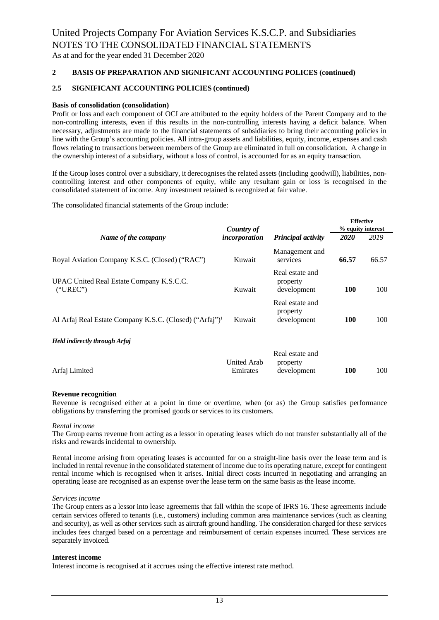As at and for the year ended 31 December 2020

#### **2 BASIS OF PREPARATION AND SIGNIFICANT ACCOUNTING POLICES (continued)**

#### **2.5 SIGNIFICANT ACCOUNTING POLICIES (continued)**

#### **Basis of consolidation (consolidation)**

Profit or loss and each component of OCI are attributed to the equity holders of the Parent Company and to the non-controlling interests, even if this results in the non-controlling interests having a deficit balance. When necessary, adjustments are made to the financial statements of subsidiaries to bring their accounting policies in line with the Group's accounting policies. All intra-group assets and liabilities, equity, income, expenses and cash flows relating to transactions between members of the Group are eliminated in full on consolidation. A change in the ownership interest of a subsidiary, without a loss of control, is accounted for as an equity transaction.

If the Group loses control over a subsidiary, it derecognises the related assets (including goodwill), liabilities, noncontrolling interest and other components of equity, while any resultant gain or loss is recognised in the consolidated statement of income. Any investment retained is recognized at fair value.

The consolidated financial statements of the Group include:

|                                                                     |                             |                                            | <b>Effective</b>          |       |
|---------------------------------------------------------------------|-----------------------------|--------------------------------------------|---------------------------|-------|
| Name of the company                                                 | Country of<br>incorporation | <b>Principal activity</b>                  | % equity interest<br>2020 | 2019  |
| Royal Aviation Company K.S.C. (Closed) ("RAC")                      | Kuwait                      | Management and<br>services                 | 66.57                     | 66.57 |
| UPAC United Real Estate Company K.S.C.C.<br>("UREC")                | Kuwait                      | Real estate and<br>property<br>development | <b>100</b>                | 100   |
| Al Arfaj Real Estate Company K.S.C. (Closed) ("Arfaj") <sup>1</sup> | Kuwait                      | Real estate and<br>property<br>development | <b>100</b>                | 100   |
| Held indirectly through Arfaj                                       |                             |                                            |                           |       |
|                                                                     | United Arab                 | Real estate and<br>property                |                           |       |

# Arfaj Limited

#### **Revenue recognition**

Revenue is recognised either at a point in time or overtime, when (or as) the Group satisfies performance obligations by transferring the promised goods or services to its customers.

Emirates

development **100** 100

#### *Rental income*

The Group earns revenue from acting as a lessor in operating leases which do not transfer substantially all of the risks and rewards incidental to ownership.

Rental income arising from operating leases is accounted for on a straight-line basis over the lease term and is included in rental revenue in the consolidated statement of income due to its operating nature, except for contingent rental income which is recognised when it arises. Initial direct costs incurred in negotiating and arranging an operating lease are recognised as an expense over the lease term on the same basis as the lease income.

#### *Services income*

The Group enters as a lessor into lease agreements that fall within the scope of IFRS 16. These agreements include certain services offered to tenants (i.e., customers) including common area maintenance services (such as cleaning and security), as well as other services such as aircraft ground handling. The consideration charged for these services includes fees charged based on a percentage and reimbursement of certain expenses incurred. These services are separately invoiced.

#### **Interest income**

Interest income is recognised at it accrues using the effective interest rate method.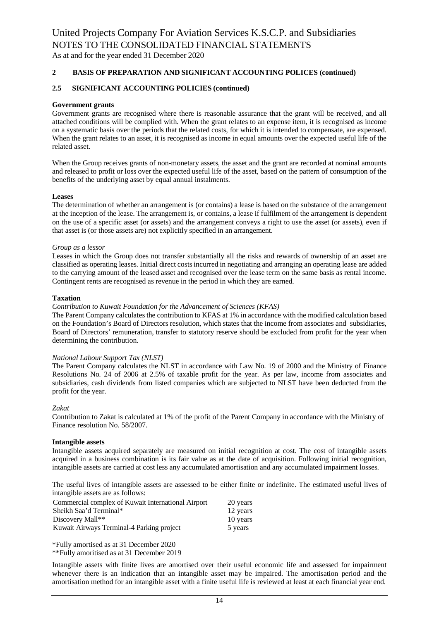As at and for the year ended 31 December 2020

#### **2 BASIS OF PREPARATION AND SIGNIFICANT ACCOUNTING POLICES (continued)**

#### **2.5 SIGNIFICANT ACCOUNTING POLICIES (continued)**

#### **Government grants**

Government grants are recognised where there is reasonable assurance that the grant will be received, and all attached conditions will be complied with. When the grant relates to an expense item, it is recognised as income on a systematic basis over the periods that the related costs, for which it is intended to compensate, are expensed. When the grant relates to an asset, it is recognised as income in equal amounts over the expected useful life of the related asset.

When the Group receives grants of non-monetary assets, the asset and the grant are recorded at nominal amounts and released to profit or loss over the expected useful life of the asset, based on the pattern of consumption of the benefits of the underlying asset by equal annual instalments.

#### **Leases**

The determination of whether an arrangement is (or contains) a lease is based on the substance of the arrangement at the inception of the lease. The arrangement is, or contains, a lease if fulfilment of the arrangement is dependent on the use of a specific asset (or assets) and the arrangement conveys a right to use the asset (or assets), even if that asset is (or those assets are) not explicitly specified in an arrangement.

#### *Group as a lessor*

Leases in which the Group does not transfer substantially all the risks and rewards of ownership of an asset are classified as operating leases. Initial direct costs incurred in negotiating and arranging an operating lease are added to the carrying amount of the leased asset and recognised over the lease term on the same basis as rental income. Contingent rents are recognised as revenue in the period in which they are earned.

#### **Taxation**

#### *Contribution to Kuwait Foundation for the Advancement of Sciences (KFAS)*

The Parent Company calculates the contribution to KFAS at 1% in accordance with the modified calculation based on the Foundation's Board of Directors resolution, which states that the income from associates and subsidiaries, Board of Directors' remuneration, transfer to statutory reserve should be excluded from profit for the year when determining the contribution.

#### *National Labour Support Tax (NLST)*

The Parent Company calculates the NLST in accordance with Law No. 19 of 2000 and the Ministry of Finance Resolutions No. 24 of 2006 at 2.5% of taxable profit for the year. As per law, income from associates and subsidiaries, cash dividends from listed companies which are subjected to NLST have been deducted from the profit for the year.

#### *Zakat*

Contribution to Zakat is calculated at 1% of the profit of the Parent Company in accordance with the Ministry of Finance resolution No. 58/2007.

#### **Intangible assets**

Intangible assets acquired separately are measured on initial recognition at cost. The cost of intangible assets acquired in a business combination is its fair value as at the date of acquisition. Following initial recognition, intangible assets are carried at cost less any accumulated amortisation and any accumulated impairment losses.

The useful lives of intangible assets are assessed to be either finite or indefinite. The estimated useful lives of intangible assets are as follows:

| Commercial complex of Kuwait International Airport | 20 years |
|----------------------------------------------------|----------|
| Sheikh Saa'd Terminal*                             | 12 years |
| Discovery Mall**                                   | 10 years |
| Kuwait Airways Terminal-4 Parking project          | 5 years  |

\*Fully amortised as at 31 December 2020

\*\*Fully amoritised as at 31 December 2019

Intangible assets with finite lives are amortised over their useful economic life and assessed for impairment whenever there is an indication that an intangible asset may be impaired. The amortisation period and the amortisation method for an intangible asset with a finite useful life is reviewed at least at each financial year end.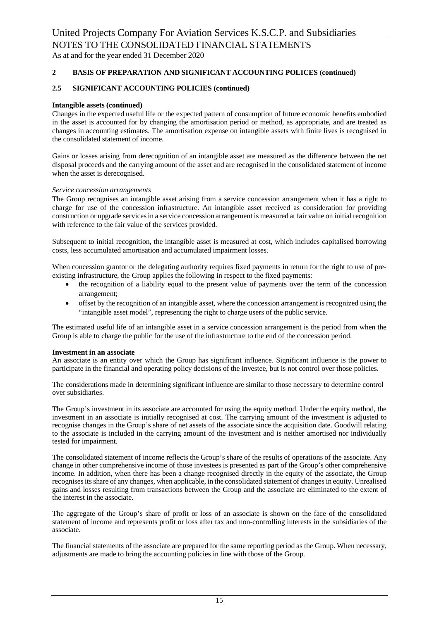As at and for the year ended 31 December 2020

#### **2 BASIS OF PREPARATION AND SIGNIFICANT ACCOUNTING POLICES (continued)**

#### **2.5 SIGNIFICANT ACCOUNTING POLICIES (continued)**

#### **Intangible assets (continued)**

Changes in the expected useful life or the expected pattern of consumption of future economic benefits embodied in the asset is accounted for by changing the amortisation period or method, as appropriate, and are treated as changes in accounting estimates. The amortisation expense on intangible assets with finite lives is recognised in the consolidated statement of income.

Gains or losses arising from derecognition of an intangible asset are measured as the difference between the net disposal proceeds and the carrying amount of the asset and are recognised in the consolidated statement of income when the asset is derecognised.

#### *Service concession arrangements*

The Group recognises an intangible asset arising from a service concession arrangement when it has a right to charge for use of the concession infrastructure. An intangible asset received as consideration for providing construction or upgrade services in a service concession arrangement is measured at fair value on initial recognition with reference to the fair value of the services provided.

Subsequent to initial recognition, the intangible asset is measured at cost, which includes capitalised borrowing costs, less accumulated amortisation and accumulated impairment losses.

When concession grantor or the delegating authority requires fixed payments in return for the right to use of preexisting infrastructure, the Group applies the following in respect to the fixed payments:

- the recognition of a liability equal to the present value of payments over the term of the concession arrangement;
- · offset by the recognition of an intangible asset, where the concession arrangement is recognized using the "intangible asset model", representing the right to charge users of the public service.

The estimated useful life of an intangible asset in a service concession arrangement is the period from when the Group is able to charge the public for the use of the infrastructure to the end of the concession period.

#### **Investment in an associate**

An associate is an entity over which the Group has significant influence. Significant influence is the power to participate in the financial and operating policy decisions of the investee, but is not control over those policies.

The considerations made in determining significant influence are similar to those necessary to determine control over subsidiaries.

The Group's investment in its associate are accounted for using the equity method. Under the equity method, the investment in an associate is initially recognised at cost. The carrying amount of the investment is adjusted to recognise changes in the Group's share of net assets of the associate since the acquisition date. Goodwill relating to the associate is included in the carrying amount of the investment and is neither amortised nor individually tested for impairment.

The consolidated statement of income reflects the Group's share of the results of operations of the associate. Any change in other comprehensive income of those investees is presented as part of the Group's other comprehensive income. In addition, when there has been a change recognised directly in the equity of the associate, the Group recognises its share of any changes, when applicable, in the consolidated statement of changes in equity. Unrealised gains and losses resulting from transactions between the Group and the associate are eliminated to the extent of the interest in the associate.

The aggregate of the Group's share of profit or loss of an associate is shown on the face of the consolidated statement of income and represents profit or loss after tax and non-controlling interests in the subsidiaries of the associate.

The financial statements of the associate are prepared for the same reporting period as the Group. When necessary, adjustments are made to bring the accounting policies in line with those of the Group.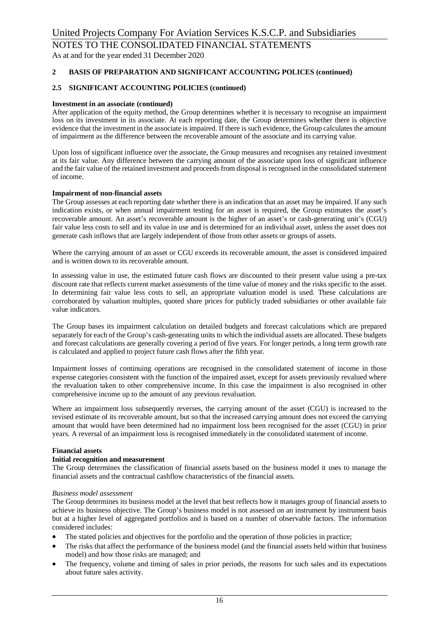As at and for the year ended 31 December 2020

#### **2 BASIS OF PREPARATION AND SIGNIFICANT ACCOUNTING POLICES (continued)**

#### **2.5 SIGNIFICANT ACCOUNTING POLICIES (continued)**

#### **Investment in an associate (continued)**

After application of the equity method, the Group determines whether it is necessary to recognise an impairment loss on its investment in its associate. At each reporting date, the Group determines whether there is objective evidence that the investment in the associate is impaired. If there is such evidence, the Group calculates the amount of impairment as the difference between the recoverable amount of the associate and its carrying value.

Upon loss of significant influence over the associate, the Group measures and recognises any retained investment at its fair value. Any difference between the carrying amount of the associate upon loss of significant influence and the fair value of the retained investment and proceeds from disposal is recognised in the consolidated statement of income.

#### **Impairment of non-financial assets**

The Group assesses at each reporting date whether there is an indication that an asset may be impaired. If any such indication exists, or when annual impairment testing for an asset is required, the Group estimates the asset's recoverable amount. An asset's recoverable amount is the higher of an asset's or cash-generating unit's (CGU) fair value less costs to sell and its value in use and is determined for an individual asset, unless the asset does not generate cash inflows that are largely independent of those from other assets or groups of assets.

Where the carrying amount of an asset or CGU exceeds its recoverable amount, the asset is considered impaired and is written down to its recoverable amount.

In assessing value in use, the estimated future cash flows are discounted to their present value using a pre-tax discount rate that reflects current market assessments of the time value of money and the risks specific to the asset. In determining fair value less costs to sell, an appropriate valuation model is used. These calculations are corroborated by valuation multiples, quoted share prices for publicly traded subsidiaries or other available fair value indicators.

The Group bases its impairment calculation on detailed budgets and forecast calculations which are prepared separately for each of the Group's cash-generating units to which the individual assets are allocated. These budgets and forecast calculations are generally covering a period of five years. For longer periods, a long term growth rate is calculated and applied to project future cash flows after the fifth year.

Impairment losses of continuing operations are recognised in the consolidated statement of income in those expense categories consistent with the function of the impaired asset, except for assets previously revalued where the revaluation taken to other comprehensive income. In this case the impairment is also recognised in other comprehensive income up to the amount of any previous revaluation.

Where an impairment loss subsequently reverses, the carrying amount of the asset (CGU) is increased to the revised estimate of its recoverable amount, but so that the increased carrying amount does not exceed the carrying amount that would have been determined had no impairment loss been recognised for the asset (CGU) in prior years. A reversal of an impairment loss is recognised immediately in the consolidated statement of income.

#### **Financial assets**

#### **Initial recognition and measurement**

The Group determines the classification of financial assets based on the business model it uses to manage the financial assets and the contractual cashflow characteristics of the financial assets.

#### *Business model assessment*

The Group determines its business model at the level that best reflects how it manages group of financial assets to achieve its business objective. The Group's business model is not assessed on an instrument by instrument basis but at a higher level of aggregated portfolios and is based on a number of observable factors. The information considered includes:

- The stated policies and objectives for the portfolio and the operation of those policies in practice;
- The risks that affect the performance of the business model (and the financial assets held within that business model) and how those risks are managed; and
- The frequency, volume and timing of sales in prior periods, the reasons for such sales and its expectations about future sales activity.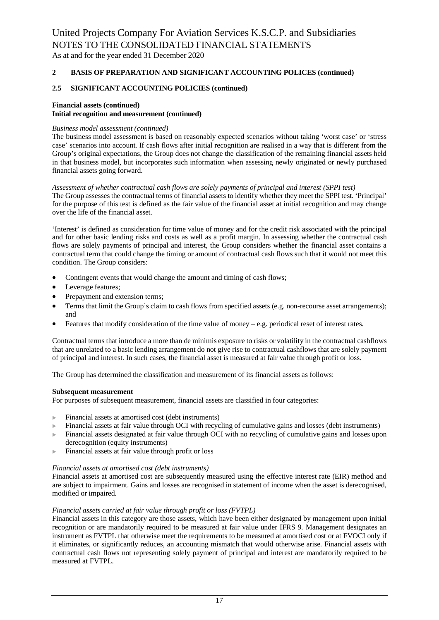As at and for the year ended 31 December 2020

#### **2 BASIS OF PREPARATION AND SIGNIFICANT ACCOUNTING POLICES (continued)**

#### **2.5 SIGNIFICANT ACCOUNTING POLICIES (continued)**

#### **Financial assets (continued) Initial recognition and measurement (continued)**

#### *Business model assessment (continued)*

The business model assessment is based on reasonably expected scenarios without taking 'worst case' or 'stress case' scenarios into account. If cash flows after initial recognition are realised in a way that is different from the Group's original expectations, the Group does not change the classification of the remaining financial assets held in that business model, but incorporates such information when assessing newly originated or newly purchased financial assets going forward.

#### *Assessment of whether contractual cash flows are solely payments of principal and interest (SPPI test)*

The Group assesses the contractual terms of financial assets to identify whether they meet the SPPI test. 'Principal' for the purpose of this test is defined as the fair value of the financial asset at initial recognition and may change over the life of the financial asset.

'Interest' is defined as consideration for time value of money and for the credit risk associated with the principal and for other basic lending risks and costs as well as a profit margin. In assessing whether the contractual cash flows are solely payments of principal and interest, the Group considers whether the financial asset contains a contractual term that could change the timing or amount of contractual cash flows such that it would not meet this condition. The Group considers:

- Contingent events that would change the amount and timing of cash flows;
- Leverage features:
- Prepayment and extension terms;
- · Terms that limit the Group's claim to cash flows from specified assets (e.g. non-recourse asset arrangements); and
- Features that modify consideration of the time value of money e.g. periodical reset of interest rates.

Contractual terms that introduce a more than de minimis exposure to risks or volatility in the contractual cashflows that are unrelated to a basic lending arrangement do not give rise to contractual cashflows that are solely payment of principal and interest. In such cases, the financial asset is measured at fair value through profit or loss.

The Group has determined the classification and measurement of its financial assets as follows:

#### **Subsequent measurement**

For purposes of subsequent measurement, financial assets are classified in four categories:

- Financial assets at amortised cost (debt instruments)
- $\blacktriangleright$  Financial assets at fair value through OCI with recycling of cumulative gains and losses (debt instruments)
- $\blacktriangleright$  Financial assets designated at fair value through OCI with no recycling of cumulative gains and losses upon derecognition (equity instruments)
- $\blacktriangleright$  Financial assets at fair value through profit or loss

#### *Financial assets at amortised cost (debt instruments)*

Financial assets at amortised cost are subsequently measured using the effective interest rate (EIR) method and are subject to impairment. Gains and losses are recognised in statement of income when the asset is derecognised, modified or impaired.

#### *Financial assets carried at fair value through profit or loss (FVTPL)*

Financial assets in this category are those assets, which have been either designated by management upon initial recognition or are mandatorily required to be measured at fair value under IFRS 9. Management designates an instrument as FVTPL that otherwise meet the requirements to be measured at amortised cost or at FVOCI only if it eliminates, or significantly reduces, an accounting mismatch that would otherwise arise. Financial assets with contractual cash flows not representing solely payment of principal and interest are mandatorily required to be measured at FVTPL.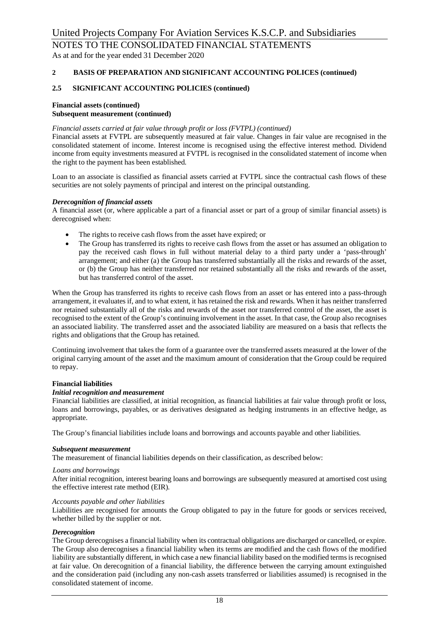As at and for the year ended 31 December 2020

#### **2 BASIS OF PREPARATION AND SIGNIFICANT ACCOUNTING POLICES (continued)**

#### **2.5 SIGNIFICANT ACCOUNTING POLICIES (continued)**

#### **Financial assets (continued) Subsequent measurement (continued)**

#### *Financial assets carried at fair value through profit or loss (FVTPL) (continued)*

Financial assets at FVTPL are subsequently measured at fair value. Changes in fair value are recognised in the consolidated statement of income. Interest income is recognised using the effective interest method. Dividend income from equity investments measured at FVTPL is recognised in the consolidated statement of income when the right to the payment has been established.

Loan to an associate is classified as financial assets carried at FVTPL since the contractual cash flows of these securities are not solely payments of principal and interest on the principal outstanding.

#### *Derecognition of financial assets*

A financial asset (or, where applicable a part of a financial asset or part of a group of similar financial assets) is derecognised when:

- The rights to receive cash flows from the asset have expired; or
- The Group has transferred its rights to receive cash flows from the asset or has assumed an obligation to pay the received cash flows in full without material delay to a third party under a 'pass-through' arrangement; and either (a) the Group has transferred substantially all the risks and rewards of the asset, or (b) the Group has neither transferred nor retained substantially all the risks and rewards of the asset, but has transferred control of the asset.

When the Group has transferred its rights to receive cash flows from an asset or has entered into a pass-through arrangement, it evaluates if, and to what extent, it has retained the risk and rewards. When it has neither transferred nor retained substantially all of the risks and rewards of the asset nor transferred control of the asset, the asset is recognised to the extent of the Group's continuing involvement in the asset. In that case, the Group also recognises an associated liability. The transferred asset and the associated liability are measured on a basis that reflects the rights and obligations that the Group has retained.

Continuing involvement that takes the form of a guarantee over the transferred assets measured at the lower of the original carrying amount of the asset and the maximum amount of consideration that the Group could be required to repay.

#### **Financial liabilities**

#### *Initial recognition and measurement*

Financial liabilities are classified, at initial recognition, as financial liabilities at fair value through profit or loss, loans and borrowings, payables, or as derivatives designated as hedging instruments in an effective hedge, as appropriate.

The Group's financial liabilities include loans and borrowings and accounts payable and other liabilities.

#### *Subsequent measurement*

The measurement of financial liabilities depends on their classification, as described below:

#### *Loans and borrowings*

After initial recognition, interest bearing loans and borrowings are subsequently measured at amortised cost using the effective interest rate method (EIR).

#### *Accounts payable and other liabilities*

Liabilities are recognised for amounts the Group obligated to pay in the future for goods or services received, whether billed by the supplier or not.

#### *Derecognition*

The Group derecognises a financial liability when its contractual obligations are discharged or cancelled, or expire. The Group also derecognises a financial liability when its terms are modified and the cash flows of the modified liability are substantially different, in which case a new financial liability based on the modified terms is recognised at fair value. On derecognition of a financial liability, the difference between the carrying amount extinguished and the consideration paid (including any non-cash assets transferred or liabilities assumed) is recognised in the consolidated statement of income.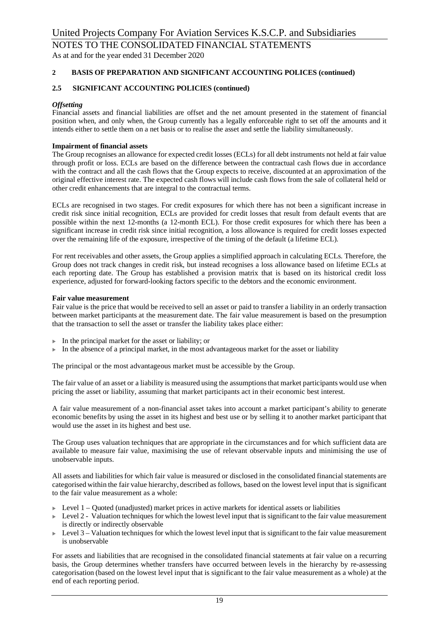As at and for the year ended 31 December 2020

#### **2 BASIS OF PREPARATION AND SIGNIFICANT ACCOUNTING POLICES (continued)**

#### **2.5 SIGNIFICANT ACCOUNTING POLICIES (continued)**

#### *Offsetting*

Financial assets and financial liabilities are offset and the net amount presented in the statement of financial position when, and only when, the Group currently has a legally enforceable right to set off the amounts and it intends either to settle them on a net basis or to realise the asset and settle the liability simultaneously.

#### **Impairment of financial assets**

The Group recognises an allowance for expected credit losses (ECLs) for all debt instruments not held at fair value through profit or loss. ECLs are based on the difference between the contractual cash flows due in accordance with the contract and all the cash flows that the Group expects to receive, discounted at an approximation of the original effective interest rate. The expected cash flows will include cash flows from the sale of collateral held or other credit enhancements that are integral to the contractual terms.

ECLs are recognised in two stages. For credit exposures for which there has not been a significant increase in credit risk since initial recognition, ECLs are provided for credit losses that result from default events that are possible within the next 12-months (a 12-month ECL). For those credit exposures for which there has been a significant increase in credit risk since initial recognition, a loss allowance is required for credit losses expected over the remaining life of the exposure, irrespective of the timing of the default (a lifetime ECL).

For rent receivables and other assets, the Group applies a simplified approach in calculating ECLs. Therefore, the Group does not track changes in credit risk, but instead recognises a loss allowance based on lifetime ECLs at each reporting date. The Group has established a provision matrix that is based on its historical credit loss experience, adjusted for forward-looking factors specific to the debtors and the economic environment.

#### **Fair value measurement**

Fair value is the price that would be received to sell an asset or paid to transfer a liability in an orderly transaction between market participants at the measurement date. The fair value measurement is based on the presumption that the transaction to sell the asset or transfer the liability takes place either:

- $\blacktriangleright$  In the principal market for the asset or liability; or
- $\blacktriangleright$  In the absence of a principal market, in the most advantageous market for the asset or liability

The principal or the most advantageous market must be accessible by the Group.

The fair value of an asset or a liability is measured using the assumptions that market participants would use when pricing the asset or liability, assuming that market participants act in their economic best interest.

A fair value measurement of a non-financial asset takes into account a market participant's ability to generate economic benefits by using the asset in its highest and best use or by selling it to another market participant that would use the asset in its highest and best use.

The Group uses valuation techniques that are appropriate in the circumstances and for which sufficient data are available to measure fair value, maximising the use of relevant observable inputs and minimising the use of unobservable inputs.

All assets and liabilities for which fair value is measured or disclosed in the consolidated financial statements are categorised within the fair value hierarchy, described as follows, based on the lowest level input that is significant to the fair value measurement as a whole:

- $\blacktriangleright$  Level 1 Quoted (unadjusted) market prices in active markets for identical assets or liabilities
- $\triangleright$  Level 2 Valuation techniques for which the lowest level input that is significant to the fair value measurement is directly or indirectly observable
- Level 3 Valuation techniques for which the lowest level input that is significant to the fair value measurement is unobservable

For assets and liabilities that are recognised in the consolidated financial statements at fair value on a recurring basis, the Group determines whether transfers have occurred between levels in the hierarchy by re-assessing categorisation (based on the lowest level input that is significant to the fair value measurement as a whole) at the end of each reporting period.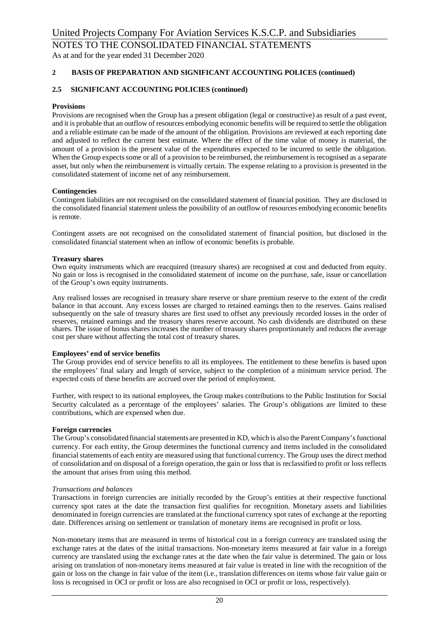As at and for the year ended 31 December 2020

#### **2 BASIS OF PREPARATION AND SIGNIFICANT ACCOUNTING POLICES (continued)**

#### **2.5 SIGNIFICANT ACCOUNTING POLICIES (continued)**

#### **Provisions**

Provisions are recognised when the Group has a present obligation (legal or constructive) as result of a past event, and it is probable that an outflow of resources embodying economic benefits will be required to settle the obligation and a reliable estimate can be made of the amount of the obligation. Provisions are reviewed at each reporting date and adjusted to reflect the current best estimate. Where the effect of the time value of money is material, the amount of a provision is the present value of the expenditures expected to be incurred to settle the obligation. When the Group expects some or all of a provision to be reimbursed, the reimbursement is recognised as a separate asset, but only when the reimbursement is virtually certain. The expense relating to a provision is presented in the consolidated statement of income net of any reimbursement.

#### **Contingencies**

Contingent liabilities are not recognised on the consolidated statement of financial position. They are disclosed in the consolidated financial statement unless the possibility of an outflow of resources embodying economic benefits is remote.

Contingent assets are not recognised on the consolidated statement of financial position, but disclosed in the consolidated financial statement when an inflow of economic benefits is probable.

#### **Treasury shares**

Own equity instruments which are reacquired (treasury shares) are recognised at cost and deducted from equity. No gain or loss is recognised in the consolidated statement of income on the purchase, sale, issue or cancellation of the Group's own equity instruments.

Any realised losses are recognised in treasury share reserve or share premium reserve to the extent of the credit balance in that account. Any excess losses are charged to retained earnings then to the reserves. Gains realised subsequently on the sale of treasury shares are first used to offset any previously recorded losses in the order of reserves, retained earnings and the treasury shares reserve account. No cash dividends are distributed on these shares. The issue of bonus shares increases the number of treasury shares proportionately and reduces the average cost per share without affecting the total cost of treasury shares.

#### **Employees' end of service benefits**

The Group provides end of service benefits to all its employees. The entitlement to these benefits is based upon the employees' final salary and length of service, subject to the completion of a minimum service period. The expected costs of these benefits are accrued over the period of employment.

Further, with respect to its national employees, the Group makes contributions to the Public Institution for Social Security calculated as a percentage of the employees' salaries. The Group's obligations are limited to these contributions, which are expensed when due.

#### **Foreign currencies**

The Group's consolidated financial statements are presented in KD, which is also the Parent Company's functional currency. For each entity, the Group determines the functional currency and items included in the consolidated financial statements of each entity are measured using that functional currency. The Group uses the direct method of consolidation and on disposal of a foreign operation, the gain or loss that is reclassified to profit or loss reflects the amount that arises from using this method.

#### *Transactions and balances*

Transactions in foreign currencies are initially recorded by the Group's entities at their respective functional currency spot rates at the date the transaction first qualifies for recognition. Monetary assets and liabilities denominated in foreign currencies are translated at the functional currency spot rates of exchange at the reporting date. Differences arising on settlement or translation of monetary items are recognised in profit or loss.

Non-monetary items that are measured in terms of historical cost in a foreign currency are translated using the exchange rates at the dates of the initial transactions. Non-monetary items measured at fair value in a foreign currency are translated using the exchange rates at the date when the fair value is determined. The gain or loss arising on translation of non-monetary items measured at fair value is treated in line with the recognition of the gain or loss on the change in fair value of the item (i.e., translation differences on items whose fair value gain or loss is recognised in OCI or profit or loss are also recognised in OCI or profit or loss, respectively).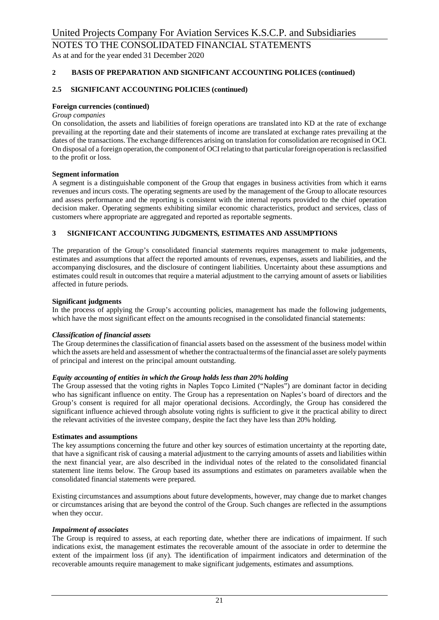As at and for the year ended 31 December 2020

#### **2 BASIS OF PREPARATION AND SIGNIFICANT ACCOUNTING POLICES (continued)**

#### **2.5 SIGNIFICANT ACCOUNTING POLICIES (continued)**

#### **Foreign currencies (continued)**

#### *Group companies*

On consolidation, the assets and liabilities of foreign operations are translated into KD at the rate of exchange prevailing at the reporting date and their statements of income are translated at exchange rates prevailing at the dates of the transactions. The exchange differences arising on translation for consolidation are recognised in OCI. On disposal of a foreign operation, the component of OCI relating to that particular foreign operation is reclassified to the profit or loss.

#### **Segment information**

A segment is a distinguishable component of the Group that engages in business activities from which it earns revenues and incurs costs. The operating segments are used by the management of the Group to allocate resources and assess performance and the reporting is consistent with the internal reports provided to the chief operation decision maker. Operating segments exhibiting similar economic characteristics, product and services, class of customers where appropriate are aggregated and reported as reportable segments.

#### **3 SIGNIFICANT ACCOUNTING JUDGMENTS, ESTIMATES AND ASSUMPTIONS**

The preparation of the Group's consolidated financial statements requires management to make judgements, estimates and assumptions that affect the reported amounts of revenues, expenses, assets and liabilities, and the accompanying disclosures, and the disclosure of contingent liabilities. Uncertainty about these assumptions and estimates could result in outcomes that require a material adjustment to the carrying amount of assets or liabilities affected in future periods.

#### **Significant judgments**

In the process of applying the Group's accounting policies, management has made the following judgements, which have the most significant effect on the amounts recognised in the consolidated financial statements:

#### *Classification of financial assets*

The Group determines the classification of financial assets based on the assessment of the business model within which the assets are held and assessment of whether the contractual terms of the financial asset are solely payments of principal and interest on the principal amount outstanding.

#### *Equity accounting of entities in which the Group holds less than 20% holding*

The Group assessed that the voting rights in Naples Topco Limited ("Naples") are dominant factor in deciding who has significant influence on entity. The Group has a representation on Naples's board of directors and the Group's consent is required for all major operational decisions. Accordingly, the Group has considered the significant influence achieved through absolute voting rights is sufficient to give it the practical ability to direct the relevant activities of the investee company, despite the fact they have less than 20% holding.

#### **Estimates and assumptions**

The key assumptions concerning the future and other key sources of estimation uncertainty at the reporting date, that have a significant risk of causing a material adjustment to the carrying amounts of assets and liabilities within the next financial year, are also described in the individual notes of the related to the consolidated financial statement line items below. The Group based its assumptions and estimates on parameters available when the consolidated financial statements were prepared.

Existing circumstances and assumptions about future developments, however, may change due to market changes or circumstances arising that are beyond the control of the Group. Such changes are reflected in the assumptions when they occur.

#### *Impairment of associates*

The Group is required to assess, at each reporting date, whether there are indications of impairment. If such indications exist, the management estimates the recoverable amount of the associate in order to determine the extent of the impairment loss (if any). The identification of impairment indicators and determination of the recoverable amounts require management to make significant judgements, estimates and assumptions.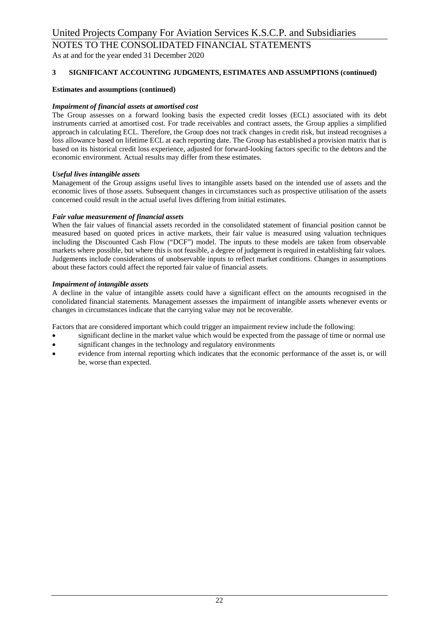As at and for the year ended 31 December 2020

#### **3 SIGNIFICANT ACCOUNTING JUDGMENTS, ESTIMATES AND ASSUMPTIONS (continued)**

#### **Estimates and assumptions (continued)**

#### *Impairment of financial assets at amortised cost*

The Group assesses on a forward looking basis the expected credit losses (ECL) associated with its debt instruments carried at amortised cost. For trade receivables and contract assets, the Group applies a simplified approach in calculating ECL. Therefore, the Group does not track changes in credit risk, but instead recognises a loss allowance based on lifetime ECL at each reporting date. The Group has established a provision matrix that is based on its historical credit loss experience, adjusted for forward-looking factors specific to the debtors and the economic environment. Actual results may differ from these estimates.

#### *Useful lives intangible assets*

Management of the Group assigns useful lives to intangible assets based on the intended use of assets and the economic lives of those assets. Subsequent changes in circumstances such as prospective utilisation of the assets concerned could result in the actual useful lives differing from initial estimates.

#### *Fair value measurement of financial assets*

When the fair values of financial assets recorded in the consolidated statement of financial position cannot be measured based on quoted prices in active markets, their fair value is measured using valuation techniques including the Discounted Cash Flow ("DCF") model. The inputs to these models are taken from observable markets where possible, but where this is not feasible, a degree of judgement is required in establishing fair values. Judgements include considerations of unobservable inputs to reflect market conditions. Changes in assumptions about these factors could affect the reported fair value of financial assets.

#### *Impairment of intangible assets*

A decline in the value of intangible assets could have a significant effect on the amounts recognised in the conolidated financial statements. Management assesses the impairment of intangible assets whenever events or changes in circumstances indicate that the carrying value may not be recoverable.

Factors that are considered important which could trigger an impairment review include the following:

- significant decline in the market value which would be expected from the passage of time or normal use
- significant changes in the technology and regulatory environments
- evidence from internal reporting which indicates that the economic performance of the asset is, or will be, worse than expected.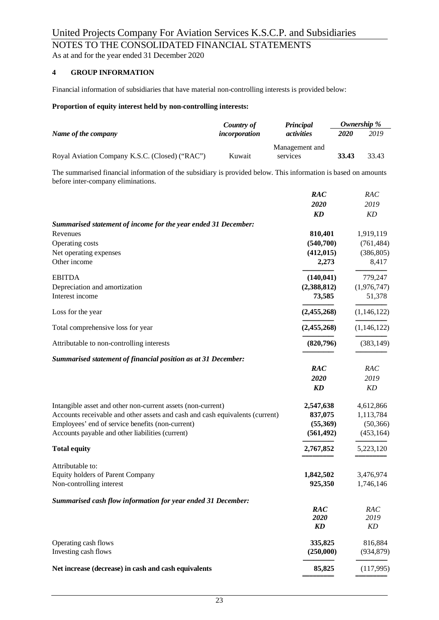As at and for the year ended 31 December 2020

#### **4 GROUP INFORMATION**

Financial information of subsidiaries that have material non-controlling interests is provided below:

#### **Proportion of equity interest held by non-controlling interests:**

|                                                | Country of    | <b>Principal</b>  | Ownership % |       |
|------------------------------------------------|---------------|-------------------|-------------|-------|
| Name of the company                            | incorporation | <i>activities</i> | <b>2020</b> | 2019  |
|                                                |               | Management and    |             |       |
| Royal Aviation Company K.S.C. (Closed) ("RAC") | Kuwait        | services          | 33.43       | 33.43 |

The summarised financial information of the subsidiary is provided below. This information is based on amounts before inter-company eliminations.

|                                                                              | <b>RAC</b>  | RAC         |
|------------------------------------------------------------------------------|-------------|-------------|
|                                                                              | 2020        | 2019        |
|                                                                              | KD          | <b>KD</b>   |
| Summarised statement of income for the year ended 31 December:               |             |             |
| Revenues                                                                     | 810,401     | 1,919,119   |
| Operating costs                                                              | (540,700)   | (761, 484)  |
| Net operating expenses                                                       | (412, 015)  | (386, 805)  |
| Other income                                                                 | 2,273       | 8,417       |
| <b>EBITDA</b>                                                                | (140, 041)  | 779,247     |
| Depreciation and amortization                                                | (2,388,812) | (1,976,747) |
| Interest income                                                              | 73,585      | 51,378      |
| Loss for the year                                                            | (2,455,268) | (1,146,122) |
| Total comprehensive loss for year                                            | (2,455,268) | (1,146,122) |
| Attributable to non-controlling interests                                    | (820,796)   | (383, 149)  |
| Summarised statement of financial position as at 31 December:                |             |             |
|                                                                              | RAC         | RAC         |
|                                                                              | 2020        | 2019        |
|                                                                              | KD          | KD          |
| Intangible asset and other non-current assets (non-current)                  | 2,547,638   | 4,612,866   |
| Accounts receivable and other assets and cash and cash equivalents (current) | 837,075     | 1,113,784   |
| Employees' end of service benefits (non-current)                             | (55,369)    | (50, 366)   |
| Accounts payable and other liabilities (current)                             | (561, 492)  | (453, 164)  |
| <b>Total equity</b>                                                          | 2,767,852   | 5,223,120   |
| Attributable to:                                                             |             |             |
| Equity holders of Parent Company                                             | 1,842,502   | 3,476,974   |
| Non-controlling interest                                                     | 925,350     | 1,746,146   |
| Summarised cash flow information for year ended 31 December:                 |             |             |
|                                                                              | RAC         | RAC         |
|                                                                              | 2020        | 2019        |
|                                                                              | KD          | KD          |
| Operating cash flows                                                         | 335,825     | 816,884     |
| Investing cash flows                                                         | (250,000)   | (934, 879)  |
| Net increase (decrease) in cash and cash equivalents                         | 85,825      | (117,995)   |
|                                                                              |             |             |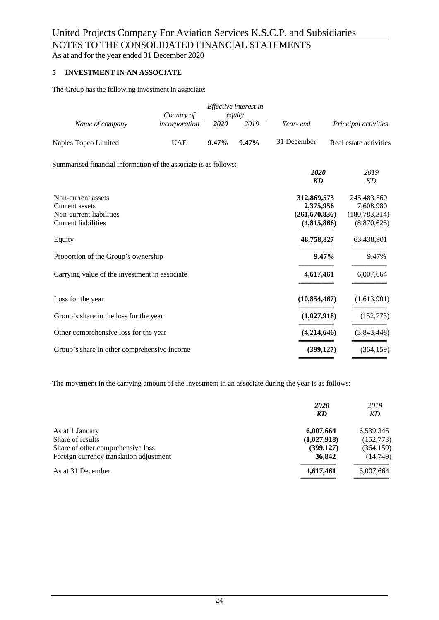# NOTES TO THE CONSOLIDATED FINANCIAL STATEMENTS

As at and for the year ended 31 December 2020

#### **5 INVESTMENT IN AN ASSOCIATE**

The Group has the following investment in associate:

|                                                                                               | Country of    |       | Effective interest in<br>equity |                                                            |                                                            |
|-----------------------------------------------------------------------------------------------|---------------|-------|---------------------------------|------------------------------------------------------------|------------------------------------------------------------|
| Name of company                                                                               | incorporation | 2020  | 2019                            | Year-end                                                   | Principal activities                                       |
| Naples Topco Limited                                                                          | <b>UAE</b>    | 9.47% | 9.47%                           | 31 December                                                | Real estate activities                                     |
| Summarised financial information of the associate is as follows:                              |               |       |                                 |                                                            |                                                            |
|                                                                                               |               |       |                                 | 2020<br><b>KD</b>                                          | 2019<br><b>KD</b>                                          |
| Non-current assets<br>Current assets<br>Non-current liabilities<br><b>Current liabilities</b> |               |       |                                 | 312,869,573<br>2,375,956<br>(261, 670, 836)<br>(4,815,866) | 245,483,860<br>7,608,980<br>(180, 783, 314)<br>(8,870,625) |
| Equity                                                                                        |               |       |                                 | 48,758,827                                                 | 63,438,901                                                 |
| Proportion of the Group's ownership                                                           |               |       |                                 | 9.47%                                                      | 9.47%                                                      |
| Carrying value of the investment in associate                                                 |               |       |                                 | 4,617,461                                                  | 6,007,664                                                  |
| Loss for the year                                                                             |               |       |                                 | (10, 854, 467)                                             | (1,613,901)                                                |
| Group's share in the loss for the year                                                        |               |       |                                 | (1,027,918)                                                | (152, 773)                                                 |
| Other comprehensive loss for the year                                                         |               |       |                                 | (4,214,646)                                                | (3,843,448)                                                |
| Group's share in other comprehensive income                                                   |               |       |                                 | (399, 127)                                                 | (364, 159)                                                 |

The movement in the carrying amount of the investment in an associate during the year is as follows:

|                                         | <b>2020</b><br>KD | 2019<br>KD |
|-----------------------------------------|-------------------|------------|
| As at 1 January                         | 6,007,664         | 6,539,345  |
| Share of results                        | (1,027,918)       | (152,773)  |
| Share of other comprehensive loss       | (399, 127)        | (364, 159) |
| Foreign currency translation adjustment | 36,842            | (14,749)   |
| As at 31 December                       | 4,617,461         | 6.007.664  |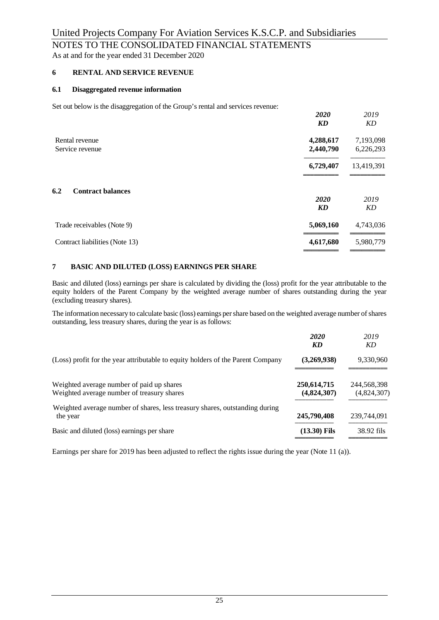As at and for the year ended 31 December 2020

#### **6 RENTAL AND SERVICE REVENUE**

#### **6.1 Disaggregated revenue information**

Set out below is the disaggregation of the Group's rental and services revenue:

|                                   | 2020<br>KD               | 2019<br>KD             |
|-----------------------------------|--------------------------|------------------------|
| Rental revenue<br>Service revenue | 4,288,617<br>2,440,790   | 7,193,098<br>6,226,293 |
|                                   | 6,729,407                | 13,419,391             |
| 6.2<br><b>Contract balances</b>   | <b>2020</b><br><b>KD</b> | 2019<br>KD             |
| Trade receivables (Note 9)        | 5,069,160                | 4,743,036              |
| Contract liabilities (Note 13)    | 4,617,680                | 5,980,779              |
|                                   |                          |                        |

#### **7 BASIC AND DILUTED (LOSS) EARNINGS PER SHARE**

Basic and diluted (loss) earnings per share is calculated by dividing the (loss) profit for the year attributable to the equity holders of the Parent Company by the weighted average number of shares outstanding during the year (excluding treasury shares).

The information necessary to calculate basic (loss) earnings per share based on the weighted average number of shares outstanding, less treasury shares, during the year is as follows:

|                                                                                         | 2020<br>KD                 | 2019<br>KD                 |
|-----------------------------------------------------------------------------------------|----------------------------|----------------------------|
| (Loss) profit for the year attributable to equity holders of the Parent Company         | (3,269,938)                | 9,330,960                  |
| Weighted average number of paid up shares<br>Weighted average number of treasury shares | 250,614,715<br>(4,824,307) | 244,568,398<br>(4,824,307) |
| Weighted average number of shares, less treasury shares, outstanding during<br>the year | 245,790,408                | 239,744,091                |
| Basic and diluted (loss) earnings per share                                             | $(13.30)$ Fils             | 38.92 fils                 |

Earnings per share for 2019 has been adjusted to reflect the rights issue during the year (Note 11 (a)).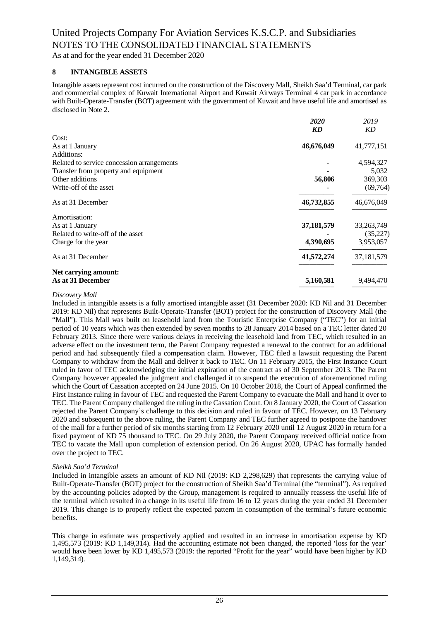As at and for the year ended 31 December 2020

#### **8 INTANGIBLE ASSETS**

Intangible assets represent cost incurred on the construction of the Discovery Mall, Sheikh Saa'd Terminal, car park and commercial complex of Kuwait International Airport and Kuwait Airways Terminal 4 car park in accordance with Built-Operate-Transfer (BOT) agreement with the government of Kuwait and have useful life and amortised as disclosed in Note 2.

|                                            | 2020         | 2019         |
|--------------------------------------------|--------------|--------------|
|                                            | <b>KD</b>    | <b>KD</b>    |
| Cost:                                      |              |              |
| As at 1 January                            | 46,676,049   | 41,777,151   |
| Additions:                                 |              |              |
| Related to service concession arrangements |              | 4,594,327    |
| Transfer from property and equipment       |              | 5,032        |
| Other additions                            | 56,806       | 369,303      |
| Write-off of the asset                     |              | (69, 764)    |
| As at 31 December                          | 46,732,855   | 46,676,049   |
| Amortisation:                              |              |              |
| As at 1 January                            | 37, 181, 579 | 33, 263, 749 |
| Related to write-off of the asset          |              | (35,227)     |
| Charge for the year                        | 4,390,695    | 3,953,057    |
| As at 31 December                          | 41,572,274   | 37, 181, 579 |
| Net carrying amount:                       |              |              |
| As at 31 December                          | 5,160,581    | 9,494,470    |

#### *Discovery Mall*

Included in intangible assets is a fully amortised intangible asset (31 December 2020: KD Nil and 31 December 2019: KD Nil) that represents Built-Operate-Transfer (BOT) project for the construction of Discovery Mall (the "Mall"). This Mall was built on leasehold land from the Touristic Enterprise Company ("TEC") for an initial period of 10 years which was then extended by seven months to 28 January 2014 based on a TEC letter dated 20 February 2013. Since there were various delays in receiving the leasehold land from TEC, which resulted in an adverse effect on the investment term, the Parent Company requested a renewal to the contract for an additional period and had subsequently filed a compensation claim. However, TEC filed a lawsuit requesting the Parent Company to withdraw from the Mall and deliver it back to TEC. On 11 February 2015, the First Instance Court ruled in favor of TEC acknowledging the initial expiration of the contract as of 30 September 2013. The Parent Company however appealed the judgment and challenged it to suspend the execution of aforementioned ruling which the Court of Cassation accepted on 24 June 2015. On 10 October 2018, the Court of Appeal confirmed the First Instance ruling in favour of TEC and requested the Parent Company to evacuate the Mall and hand it over to TEC. The Parent Company challenged the ruling in the Cassation Court. On 8 January 2020, the Court of Cassation rejected the Parent Company's challenge to this decision and ruled in favour of TEC. However, on 13 February 2020 and subsequent to the above ruling, the Parent Company and TEC further agreed to postpone the handover of the mall for a further period of six months starting from 12 February 2020 until 12 August 2020 in return for a fixed payment of KD 75 thousand to TEC. On 29 July 2020, the Parent Company received official notice from TEC to vacate the Mall upon completion of extension period. On 26 August 2020, UPAC has formally handed over the project to TEC.

#### *Sheikh Saa'd Terminal*

Included in intangible assets an amount of KD Nil (2019: KD 2,298,629) that represents the carrying value of Built-Operate-Transfer (BOT) project for the construction of Sheikh Saa'd Terminal (the "terminal"). As required by the accounting policies adopted by the Group, management is required to annually reassess the useful life of the terminal which resulted in a change in its useful life from 16 to 12 years during the year ended 31 December 2019. This change is to properly reflect the expected pattern in consumption of the terminal's future economic benefits.

This change in estimate was prospectively applied and resulted in an increase in amortisation expense by KD 1,495,573 (2019: KD 1,149,314). Had the accounting estimate not been changed, the reported 'loss for the year' would have been lower by KD 1,495,573 (2019: the reported "Profit for the year" would have been higher by KD 1,149,314).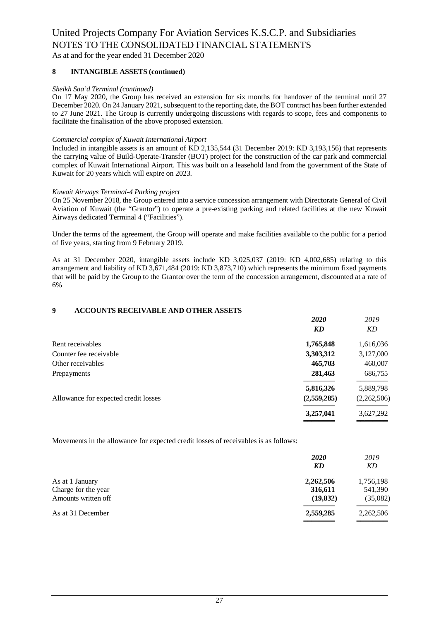As at and for the year ended 31 December 2020

#### **8 INTANGIBLE ASSETS (continued)**

#### *Sheikh Saa'd Terminal (continued)*

On 17 May 2020, the Group has received an extension for six months for handover of the terminal until 27 December 2020. On 24 January 2021, subsequent to the reporting date, the BOT contract has been further extended to 27 June 2021. The Group is currently undergoing discussions with regards to scope, fees and components to facilitate the finalisation of the above proposed extension.

#### *Commercial complex of Kuwait International Airport*

Included in intangible assets is an amount of KD 2,135,544 (31 December 2019: KD 3,193,156) that represents the carrying value of Build-Operate-Transfer (BOT) project for the construction of the car park and commercial complex of Kuwait International Airport. This was built on a leasehold land from the government of the State of Kuwait for 20 years which will expire on 2023.

#### *Kuwait Airways Terminal-4 Parking project*

On 25 November 2018, the Group entered into a service concession arrangement with Directorate General of Civil Aviation of Kuwait (the "Grantor") to operate a pre-existing parking and related facilities at the new Kuwait Airways dedicated Terminal 4 ("Facilities").

Under the terms of the agreement, the Group will operate and make facilities available to the public for a period of five years, starting from 9 February 2019.

As at 31 December 2020, intangible assets include KD 3,025,037 (2019: KD 4,002,685) relating to this arrangement and liability of KD 3,671,484 (2019: KD 3,873,710) which represents the minimum fixed payments that will be paid by the Group to the Grantor over the term of the concession arrangement, discounted at a rate of 6%

#### **9 ACCOUNTS RECEIVABLE AND OTHER ASSETS**

|                                      | 2020        | 2019        |
|--------------------------------------|-------------|-------------|
|                                      | KD          | KD          |
| Rent receivables                     | 1,765,848   | 1,616,036   |
| Counter fee receivable               | 3,303,312   | 3,127,000   |
| Other receivables                    | 465,703     | 460,007     |
| Prepayments                          | 281,463     | 686,755     |
|                                      | 5,816,326   | 5,889,798   |
| Allowance for expected credit losses | (2,559,285) | (2,262,506) |
|                                      | 3,257,041   | 3,627,292   |
|                                      |             |             |

Movements in the allowance for expected credit losses of receivables is as follows:

|                     | 2020<br>KD | 2019<br>KD |
|---------------------|------------|------------|
| As at 1 January     | 2,262,506  | 1,756,198  |
| Charge for the year | 316,611    | 541,390    |
| Amounts written off | (19, 832)  | (35,082)   |
| As at 31 December   | 2,559,285  | 2,262,506  |
|                     |            |            |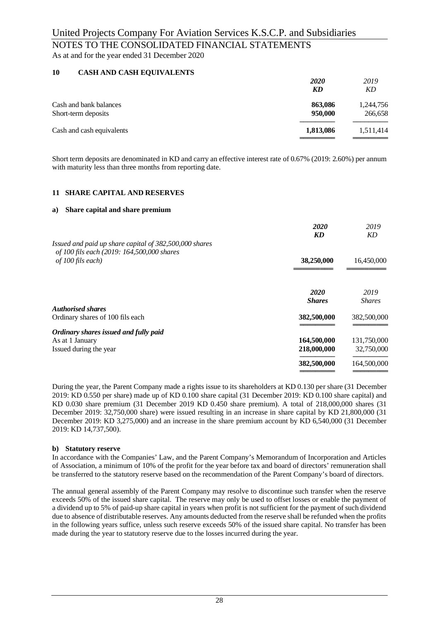As at and for the year ended 31 December 2020

#### **10 CASH AND CASH EQUIVALENTS**

|                                               | 2020<br>KD         | 2019<br>KD           |
|-----------------------------------------------|--------------------|----------------------|
| Cash and bank balances<br>Short-term deposits | 863,086<br>950,000 | 1,244,756<br>266,658 |
| Cash and cash equivalents                     | 1,813,086          | 1,511,414            |

Short term deposits are denominated in KD and carry an effective interest rate of 0.67% (2019: 2.60%) per annum with maturity less than three months from reporting date.

#### **11 SHARE CAPITAL AND RESERVES**

#### **a) Share capital and share premium**

|                                                                                                                           | <b>2020</b><br>KD     | 2019<br>KD            |
|---------------------------------------------------------------------------------------------------------------------------|-----------------------|-----------------------|
| Issued and paid up share capital of 382,500,000 shares<br>of 100 fils each (2019: 164,500,000 shares<br>of 100 fils each) | 38,250,000            | 16,450,000            |
|                                                                                                                           | 2020<br><b>Shares</b> | 2019<br><b>Shares</b> |
| <b>Authorised shares</b>                                                                                                  |                       |                       |
| Ordinary shares of 100 fils each                                                                                          | 382,500,000           | 382,500,000           |
| Ordinary shares issued and fully paid                                                                                     |                       |                       |
| As at 1 January                                                                                                           | 164,500,000           | 131,750,000           |
| Issued during the year                                                                                                    | 218,000,000           | 32,750,000            |
|                                                                                                                           | 382,500,000           | 164,500,000           |
|                                                                                                                           |                       |                       |

During the year, the Parent Company made a rights issue to its shareholders at KD 0.130 per share (31 December 2019: KD 0.550 per share) made up of KD 0.100 share capital (31 December 2019: KD 0.100 share capital) and KD 0.030 share premium (31 December 2019 KD 0.450 share premium). A total of 218,000,000 shares (31 December 2019: 32,750,000 share) were issued resulting in an increase in share capital by KD 21,800,000 (31 December 2019: KD 3,275,000) and an increase in the share premium account by KD 6,540,000 (31 December 2019: KD 14,737,500).

#### **b) Statutory reserve**

In accordance with the Companies' Law, and the Parent Company's Memorandum of Incorporation and Articles of Association, a minimum of 10% of the profit for the year before tax and board of directors' remuneration shall be transferred to the statutory reserve based on the recommendation of the Parent Company's board of directors.

The annual general assembly of the Parent Company may resolve to discontinue such transfer when the reserve exceeds 50% of the issued share capital. The reserve may only be used to offset losses or enable the payment of a dividend up to 5% of paid-up share capital in years when profit is not sufficient for the payment of such dividend due to absence of distributable reserves. Any amounts deducted from the reserve shall be refunded when the profits in the following years suffice, unless such reserve exceeds 50% of the issued share capital. No transfer has been made during the year to statutory reserve due to the losses incurred during the year.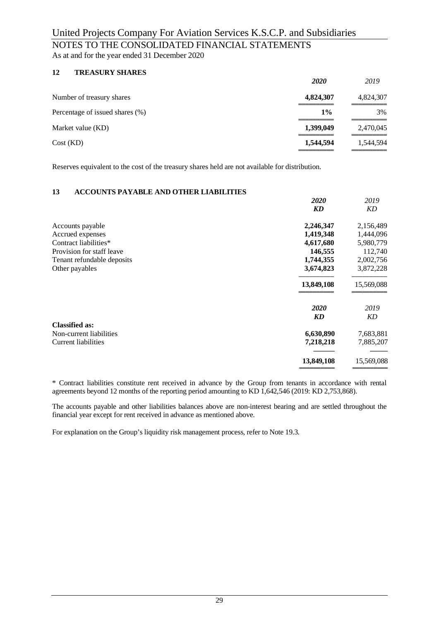# NOTES TO THE CONSOLIDATED FINANCIAL STATEMENTS

As at and for the year ended 31 December 2020

#### **12 TREASURY SHARES**

|                                 | <b>2020</b> | 2019      |
|---------------------------------|-------------|-----------|
| Number of treasury shares       | 4,824,307   | 4,824,307 |
| Percentage of issued shares (%) | $1\%$       | 3%        |
| Market value (KD)               | 1,399,049   | 2,470,045 |
| Cost(KD)                        | 1,544,594   | 1,544,594 |
|                                 |             |           |

Reserves equivalent to the cost of the treasury shares held are not available for distribution.

#### **13 ACCOUNTS PAYABLE AND OTHER LIABILITIES**

|                                                  | 2020       | 2019                   |
|--------------------------------------------------|------------|------------------------|
|                                                  | <b>KD</b>  | KD                     |
| Accounts payable                                 | 2,246,347  | 2,156,489              |
| Accrued expenses                                 | 1,419,348  | 1,444,096              |
| Contract liabilities*                            | 4,617,680  | 5,980,779              |
| Provision for staff leave                        | 146,555    | 112,740                |
| Tenant refundable deposits                       | 1,744,355  | 2,002,756              |
| Other payables                                   | 3,674,823  | 3,872,228              |
|                                                  | 13,849,108 | 15,569,088             |
|                                                  | 2020       | 2019                   |
|                                                  | KD         | KD                     |
| <b>Classified as:</b><br>Non-current liabilities | 6,630,890  |                        |
| <b>Current liabilities</b>                       | 7,218,218  | 7,683,881<br>7,885,207 |
|                                                  |            |                        |
|                                                  | 13,849,108 | 15,569,088             |
|                                                  |            |                        |

\* Contract liabilities constitute rent received in advance by the Group from tenants in accordance with rental agreements beyond 12 months of the reporting period amounting to KD 1,642,546 (2019: KD 2,753,868).

The accounts payable and other liabilities balances above are non-interest bearing and are settled throughout the financial year except for rent received in advance as mentioned above.

For explanation on the Group's liquidity risk management process, refer to Note 19.3.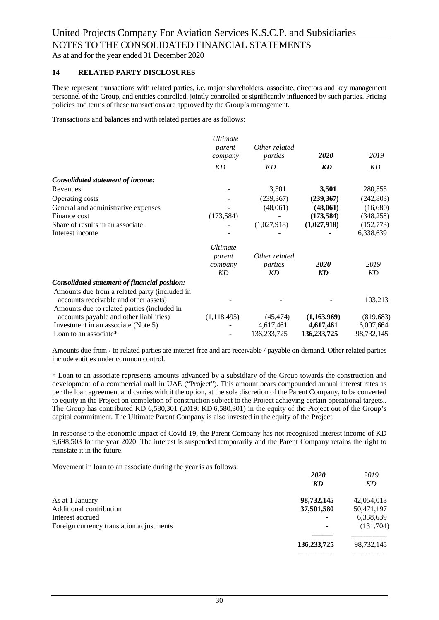As at and for the year ended 31 December 2020

#### **14 RELATED PARTY DISCLOSURES**

These represent transactions with related parties, i.e. major shareholders, associate, directors and key management personnel of the Group, and entities controlled, jointly controlled or significantly influenced by such parties. Pricing policies and terms of these transactions are approved by the Group's management.

Transactions and balances and with related parties are as follows:

|                                                                                        | <b>Ultimate</b><br>parent<br>company       | Other related<br>parties              | 2020                     | 2019       |
|----------------------------------------------------------------------------------------|--------------------------------------------|---------------------------------------|--------------------------|------------|
|                                                                                        | KD                                         | KD                                    | KD                       | KD         |
| Consolidated statement of income:                                                      |                                            |                                       |                          |            |
| Revenues                                                                               |                                            | 3,501                                 | 3,501                    | 280,555    |
| Operating costs                                                                        |                                            | (239, 367)                            | (239, 367)               | (242, 803) |
| General and administrative expenses                                                    |                                            | (48,061)                              | (48,061)                 | (16,680)   |
| Finance cost                                                                           | (173, 584)                                 |                                       | (173, 584)               | (348, 258) |
| Share of results in an associate                                                       |                                            | (1,027,918)                           | (1,027,918)              | (152, 773) |
| Interest income                                                                        |                                            |                                       |                          | 6,338,639  |
|                                                                                        | <b>Ultimate</b><br>parent<br>company<br>KD | Other related<br>parties<br><b>KD</b> | <b>2020</b><br><b>KD</b> | 2019<br>KD |
| Consolidated statement of financial position:                                          |                                            |                                       |                          |            |
| Amounts due from a related party (included in<br>accounts receivable and other assets) |                                            |                                       |                          | 103,213    |
| Amounts due to related parties (included in                                            |                                            |                                       |                          |            |
| accounts payable and other liabilities)                                                | (1, 118, 495)                              | (45, 474)                             | (1,163,969)              | (819, 683) |
| Investment in an associate (Note 5)                                                    |                                            | 4,617,461                             | 4,617,461                | 6,007,664  |
| Loan to an associate*                                                                  | $\overline{\phantom{a}}$                   | 136, 233, 725                         | 136, 233, 725            | 98,732,145 |

Amounts due from / to related parties are interest free and are receivable / payable on demand. Other related parties include entities under common control.

\* Loan to an associate represents amounts advanced by a subsidiary of the Group towards the construction and development of a commercial mall in UAE ("Project"). This amount bears compounded annual interest rates as per the loan agreement and carries with it the option, at the sole discretion of the Parent Company, to be converted to equity in the Project on completion of construction subject to the Project achieving certain operational targets.. The Group has contributed KD 6,580,301 (2019: KD 6,580,301) in the equity of the Project out of the Group's capital commitment. The Ultimate Parent Company is also invested in the equity of the Project.

In response to the economic impact of Covid-19, the Parent Company has not recognised interest income of KD 9,698,503 for the year 2020. The interest is suspended temporarily and the Parent Company retains the right to reinstate it in the future.

Movement in loan to an associate during the year is as follows:

|                                          | 2020<br>KD    | 2019<br>KD |
|------------------------------------------|---------------|------------|
| As at 1 January                          | 98,732,145    | 42,054,013 |
| Additional contribution                  | 37,501,580    | 50,471,197 |
| Interest accrued                         |               | 6,338,639  |
| Foreign currency translation adjustments | ۰             | (131,704)  |
|                                          | 136, 233, 725 | 98,732,145 |
|                                          |               |            |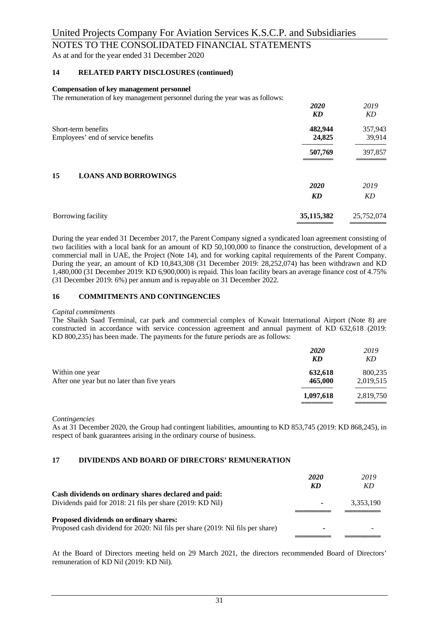As at and for the year ended 31 December 2020

#### **14 RELATED PARTY DISCLOSURES (continued)**

#### **Compensation of key management personnel**

The remuneration of key management personnel during the year was as follows:

|                                    | 2020       | 2019       |
|------------------------------------|------------|------------|
|                                    | <b>KD</b>  | KD         |
| Short-term benefits                | 482,944    | 357,943    |
| Employees' end of service benefits | 24,825     | 39,914     |
|                                    | 507,769    | 397,857    |
| 15<br><b>LOANS AND BORROWINGS</b>  |            |            |
|                                    | 2020       | 2019       |
|                                    | <b>KD</b>  | KD         |
| Borrowing facility                 | 35,115,382 | 25,752,074 |

During the year ended 31 December 2017, the Parent Company signed a syndicated loan agreement consisting of two facilities with a local bank for an amount of KD 50,100,000 to finance the construction, development of a commercial mall in UAE, the Project (Note 14), and for working capital requirements of the Parent Company. During the year, an amount of KD 10,843,308 (31 December 2019: 28,252,074) has been withdrawn and KD 1,480,000 (31 December 2019: KD 6,900,000) is repaid. This loan facility bears an average finance cost of 4.75% (31 December 2019: 6%) per annum and is repayable on 31 December 2022.

#### **16 COMMITMENTS AND CONTINGENCIES**

#### *Capital commitments*

The Shaikh Saad Terminal, car park and commercial complex of Kuwait International Airport (Note 8) are constructed in accordance with service concession agreement and annual payment of KD 632,618 (2019: KD 800,235) has been made. The payments for the future periods are as follows:

|                                                                | <b>2020</b><br>KD  | 2019<br>KD           |
|----------------------------------------------------------------|--------------------|----------------------|
| Within one year<br>After one year but no later than five years | 632,618<br>465,000 | 800,235<br>2,019,515 |
|                                                                | 1,097,618          | 2,819,750            |

*Contingencies*

As at 31 December 2020, the Group had contingent liabilities, amounting to KD 853,745 (2019: KD 868,245), in respect of bank guarantees arising in the ordinary course of business.

#### **17 DIVIDENDS AND BOARD OF DIRECTORS' REMUNERATION**

|                                                                                | <b>2020</b><br>KD | 2019<br>KD |
|--------------------------------------------------------------------------------|-------------------|------------|
| Cash dividends on ordinary shares declared and paid:                           |                   |            |
| Dividends paid for 2018: 21 fils per share (2019: KD Nil)                      |                   | 3.353.190  |
| <b>Proposed dividends on ordinary shares:</b>                                  |                   |            |
| Proposed cash dividend for 2020: Nil fils per share (2019: Nil fils per share) | ۰                 |            |
|                                                                                |                   |            |

At the Board of Directors meeting held on 29 March 2021, the directors recommended Board of Directors' remuneration of KD Nil (2019: KD Nil).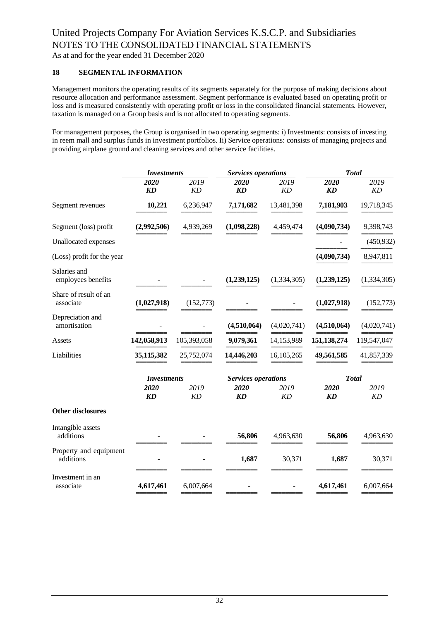As at and for the year ended 31 December 2020

#### **18 SEGMENTAL INFORMATION**

Management monitors the operating results of its segments separately for the purpose of making decisions about resource allocation and performance assessment. Segment performance is evaluated based on operating profit or loss and is measured consistently with operating profit or loss in the consolidated financial statements. However, taxation is managed on a Group basis and is not allocated to operating segments.

For management purposes, the Group is organised in two operating segments: i) Investments: consists of investing in reem mall and surplus funds in investment portfolios. Ii) Service operations: consists of managing projects and providing airplane ground and cleaning services and other service facilities.

|                                     | <b>Investments</b> |                   | <b>Services operations</b> |                   | <b>Total</b>      |             |
|-------------------------------------|--------------------|-------------------|----------------------------|-------------------|-------------------|-------------|
|                                     | 2020<br><b>KD</b>  | 2019<br>KD        | 2020<br><b>KD</b>          | 2019<br><b>KD</b> | 2020<br><b>KD</b> | 2019<br>KD  |
| Segment revenues                    | 10,221             | 6,236,947         | 7,171,682                  | 13,481,398        | 7,181,903         | 19,718,345  |
| Segment (loss) profit               | (2,992,506)        | 4,939,269         | (1,098,228)                | 4,459,474         | (4,090,734)       | 9,398,743   |
| Unallocated expenses                |                    |                   |                            |                   |                   | (450, 932)  |
| (Loss) profit for the year          |                    |                   |                            |                   | (4,090,734)       | 8,947,811   |
| Salaries and<br>employees benefits  |                    |                   | (1,239,125)                | (1,334,305)       | (1,239,125)       | (1,334,305) |
| Share of result of an<br>associate  | (1,027,918)        | (152, 773)        |                            |                   | (1,027,918)       | (152, 773)  |
| Depreciation and<br>amortisation    |                    |                   | (4,510,064)                | (4,020,741)       | (4,510,064)       | (4,020,741) |
| Assets                              | 142,058,913        | 105,393,058       | 9,079,361                  | 14,153,989        | 151,138,274       | 119,547,047 |
| Liabilities                         | 35,115,382         | 25,752,074        | 14,446,203                 | 16, 105, 265      | 49,561,585        | 41,857,339  |
|                                     | <i>Investments</i> |                   | <b>Services operations</b> |                   | <b>Total</b>      |             |
|                                     | 2020<br><b>KD</b>  | 2019<br><b>KD</b> | 2020<br><b>KD</b>          | 2019<br><b>KD</b> | 2020<br>KD        | 2019<br>KD  |
| <b>Other disclosures</b>            |                    |                   |                            |                   |                   |             |
| Intangible assets<br>additions      |                    |                   | 56,806                     | 4,963,630         | 56,806            | 4,963,630   |
| Property and equipment<br>additions |                    |                   | 1,687                      | 30,371            | 1,687             | 30,371      |
| Investment in an<br>associate       | 4,617,461          | 6,007,664         |                            |                   | 4,617,461         | 6,007,664   |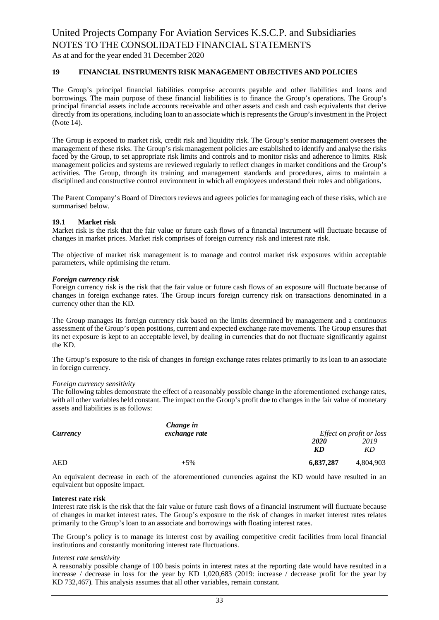As at and for the year ended 31 December 2020

#### **19 FINANCIAL INSTRUMENTS RISK MANAGEMENT OBJECTIVES AND POLICIES**

The Group's principal financial liabilities comprise accounts payable and other liabilities and loans and borrowings. The main purpose of these financial liabilities is to finance the Group's operations. The Group's principal financial assets include accounts receivable and other assets and cash and cash equivalents that derive directly from its operations, including loan to an associate which is represents the Group's investment in the Project (Note 14).

The Group is exposed to market risk, credit risk and liquidity risk. The Group's senior management oversees the management of these risks. The Group's risk management policies are established to identify and analyse the risks faced by the Group, to set appropriate risk limits and controls and to monitor risks and adherence to limits. Risk management policies and systems are reviewed regularly to reflect changes in market conditions and the Group's activities. The Group, through its training and management standards and procedures, aims to maintain a disciplined and constructive control environment in which all employees understand their roles and obligations.

The Parent Company's Board of Directors reviews and agrees policies for managing each of these risks, which are summarised below.

#### **19.1 Market risk**

Market risk is the risk that the fair value or future cash flows of a financial instrument will fluctuate because of changes in market prices. Market risk comprises of foreign currency risk and interest rate risk.

The objective of market risk management is to manage and control market risk exposures within acceptable parameters, while optimising the return.

#### *Foreign currency risk*

Foreign currency risk is the risk that the fair value or future cash flows of an exposure will fluctuate because of changes in foreign exchange rates. The Group incurs foreign currency risk on transactions denominated in a currency other than the KD.

The Group manages its foreign currency risk based on the limits determined by management and a continuous assessment of the Group's open positions, current and expected exchange rate movements. The Group ensures that its net exposure is kept to an acceptable level, by dealing in currencies that do not fluctuate significantly against the KD.

The Group's exposure to the risk of changes in foreign exchange rates relates primarily to its loan to an associate in foreign currency.

#### *Foreign currency sensitivity*

The following tables demonstrate the effect of a reasonably possible change in the aforementioned exchange rates, with all other variables held constant. The impact on the Group's profit due to changes in the fair value of monetary assets and liabilities is as follows:

| Currency   | Change in<br>exchange rate |            | Effect on profit or loss |  |
|------------|----------------------------|------------|--------------------------|--|
|            |                            | 2020<br>KD | 2019<br>KD               |  |
| <b>AED</b> | $+5\%$                     | 6,837,287  | 4,804,903                |  |

An equivalent decrease in each of the aforementioned currencies against the KD would have resulted in an equivalent but opposite impact.

#### **Interest rate risk**

Interest rate risk is the risk that the fair value or future cash flows of a financial instrument will fluctuate because of changes in market interest rates. The Group's exposure to the risk of changes in market interest rates relates primarily to the Group's loan to an associate and borrowings with floating interest rates.

The Group's policy is to manage its interest cost by availing competitive credit facilities from local financial institutions and constantly monitoring interest rate fluctuations.

#### *Interest rate sensitivity*

A reasonably possible change of 100 basis points in interest rates at the reporting date would have resulted in a increase / decrease in loss for the year by KD 1,020,683 (2019: increase / decrease profit for the year by KD 732,467). This analysis assumes that all other variables, remain constant.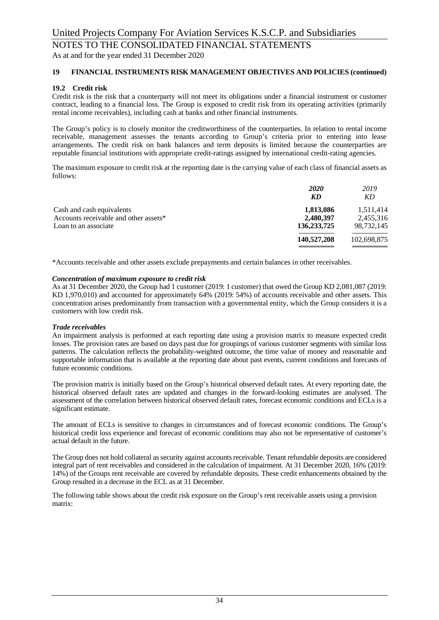As at and for the year ended 31 December 2020

#### **19 FINANCIAL INSTRUMENTS RISK MANAGEMENT OBJECTIVES AND POLICIES (continued)**

#### **19.2 Credit risk**

Credit risk is the risk that a counterparty will not meet its obligations under a financial instrument or customer contract, leading to a financial loss. The Group is exposed to credit risk from its operating activities (primarily rental income receivables), including cash at banks and other financial instruments.

The Group's policy is to closely monitor the creditworthiness of the counterparties. In relation to rental income receivable, management assesses the tenants according to Group's criteria prior to entering into lease arrangements. The credit risk on bank balances and term deposits is limited because the counterparties are reputable financial institutions with appropriate credit-ratings assigned by international credit-rating agencies.

The maximum exposure to credit risk at the reporting date is the carrying value of each class of financial assets as follows:

| 2020<br>KD    | 2019<br>KD  |
|---------------|-------------|
| 1,813,086     | 1,511,414   |
| 2,480,397     | 2,455,316   |
| 136, 233, 725 | 98,732,145  |
| 140,527,208   | 102,698,875 |
|               |             |

\*Accounts receivable and other assets exclude prepayments and certain balances in other receivables.

#### *Concentration of maximum exposure to credit risk*

As at 31 December 2020, the Group had 1 customer (2019: 1 customer) that owed the Group KD 2,081,087 (2019: KD 1,970,010) and accounted for approximately 64% (2019: 54%) of accounts receivable and other assets. This concentration arises predominantly from transaction with a governmental entity, which the Group considers it is a customers with low credit risk.

#### *Trade receivables*

An impairment analysis is performed at each reporting date using a provision matrix to measure expected credit losses. The provision rates are based on days past due for groupings of various customer segments with similar loss patterns. The calculation reflects the probability-weighted outcome, the time value of money and reasonable and supportable information that is available at the reporting date about past events, current conditions and forecasts of future economic conditions.

The provision matrix is initially based on the Group's historical observed default rates. At every reporting date, the historical observed default rates are updated and changes in the forward-looking estimates are analysed. The assessment of the correlation between historical observed default rates, forecast economic conditions and ECLs is a significant estimate.

The amount of ECLs is sensitive to changes in circumstances and of forecast economic conditions. The Group's historical credit loss experience and forecast of economic conditions may also not be representative of customer's actual default in the future.

The Group does not hold collateral as security against accounts receivable. Tenant refundable deposits are considered integral part of rent receivables and considered in the calculation of impairment. At 31 December 2020, 16% (2019: 14%) of the Groups rent receivable are covered by refundable deposits. These credit enhancements obtained by the Group resulted in a decrease in the ECL as at 31 December.

The following table shows about the credit risk exposure on the Group's rent receivable assets using a provision matrix: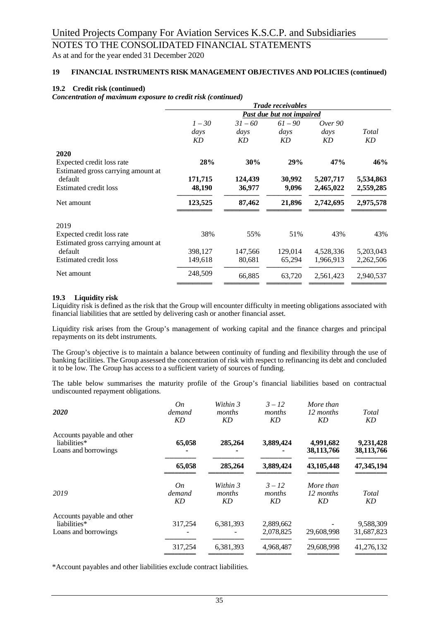As at and for the year ended 31 December 2020

#### **19 FINANCIAL INSTRUMENTS RISK MANAGEMENT OBJECTIVES AND POLICIES (continued)**

#### **19.2 Credit risk (continued)**

*Concentration of maximum exposure to credit risk (continued)*

|                                    | Trade receivables<br>Past due but not impaired |           |           |           |           |
|------------------------------------|------------------------------------------------|-----------|-----------|-----------|-----------|
|                                    |                                                |           |           |           |           |
|                                    | $1 - 30$                                       | $31 - 60$ | $61 - 90$ | Over 90   |           |
|                                    | days                                           | days      | days      | days      | Total     |
|                                    | KD                                             | KD        | KD        | KD        | KD        |
| 2020                               |                                                |           |           |           |           |
| Expected credit loss rate          | 28%                                            | 30%       | 29%       | 47%       | 46%       |
| Estimated gross carrying amount at |                                                |           |           |           |           |
| default                            | 171,715                                        | 124,439   | 30,992    | 5,207,717 | 5,534,863 |
| Estimated credit loss              | 48,190                                         | 36,977    | 9,096     | 2,465,022 | 2,559,285 |
| Net amount                         | 123,525                                        | 87,462    | 21,896    | 2,742,695 | 2,975,578 |
| 2019                               |                                                |           |           |           |           |
| Expected credit loss rate          | 38%                                            | 55%       | 51%       | 43%       | 43%       |
| Estimated gross carrying amount at |                                                |           |           |           |           |
| default                            | 398,127                                        | 147,566   | 129,014   | 4,528,336 | 5,203,043 |
| Estimated credit loss              | 149,618                                        | 80,681    | 65,294    | 1,966,913 | 2,262,506 |
| Net amount                         | 248,509                                        | 66,885    | 63,720    | 2,561,423 | 2,940,537 |
|                                    |                                                |           |           |           |           |

#### **19.3 Liquidity risk**

Liquidity risk is defined as the risk that the Group will encounter difficulty in meeting obligations associated with financial liabilities that are settled by delivering cash or another financial asset.

Liquidity risk arises from the Group's management of working capital and the finance charges and principal repayments on its debt instruments.

The Group's objective is to maintain a balance between continuity of funding and flexibility through the use of banking facilities. The Group assessed the concentration of risk with respect to refinancing its debt and concluded it to be low. The Group has access to a sufficient variety of sources of funding.

The table below summarises the maturity profile of the Group's financial liabilities based on contractual undiscounted repayment obligations.

| 2020                                                               | On<br>demand<br>KD        | Within 3<br>months<br>KD        | $3 - 12$<br>months<br>ΚD        | More than<br>12 months<br>KD | Total<br>KD             |
|--------------------------------------------------------------------|---------------------------|---------------------------------|---------------------------------|------------------------------|-------------------------|
| Accounts payable and other<br>liabilities*<br>Loans and borrowings | 65,058                    | 285,264                         | 3,889,424                       | 4,991,682<br>38,113,766      | 9,231,428<br>38,113,766 |
|                                                                    | 65,058                    | 285,264                         | 3,889,424                       | 43,105,448                   | 47,345,194              |
| 2019                                                               | On<br>demand<br><b>KD</b> | Within 3<br>months<br><b>KD</b> | $3 - 12$<br>months<br><b>KD</b> | More than<br>12 months<br>KD | <b>Total</b><br>KD      |
| Accounts payable and other<br>liabilities*<br>Loans and borrowings | 317,254                   | 6,381,393                       | 2,889,662<br>2,078,825          | 29,608,998                   | 9,588,309<br>31,687,823 |
|                                                                    | 317,254                   | 6,381,393                       | 4,968,487                       | 29,608,998                   | 41,276,132              |

\*Account payables and other liabilities exclude contract liabilities.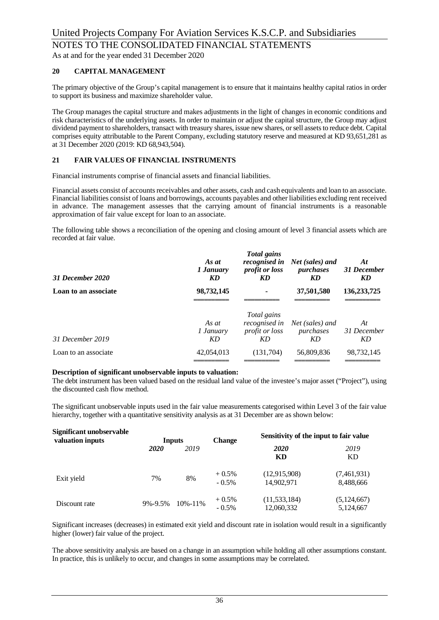As at and for the year ended 31 December 2020

#### **20 CAPITAL MANAGEMENT**

The primary objective of the Group's capital management is to ensure that it maintains healthy capital ratios in order to support its business and maximize shareholder value.

The Group manages the capital structure and makes adjustments in the light of changes in economic conditions and risk characteristics of the underlying assets. In order to maintain or adjust the capital structure, the Group may adjust dividend payment to shareholders, transact with treasury shares, issue new shares, or sell assets to reduce debt. Capital comprises equity attributable to the Parent Company, excluding statutory reserve and measured at KD 93,651,281 as at 31 December 2020 (2019: KD 68,943,504).

#### **21 FAIR VALUES OF FINANCIAL INSTRUMENTS**

Financial instruments comprise of financial assets and financial liabilities.

Financial assets consist of accounts receivables and other assets, cash and cash equivalents and loan to an associate. Financial liabilities consist of loans and borrowings, accounts payables and other liabilities excluding rent received in advance. The management assesses that the carrying amount of financial instruments is a reasonable approximation of fair value except for loan to an associate.

The following table shows a reconciliation of the opening and closing amount of level 3 financial assets which are recorded at fair value.

| 31 December 2020     | As at<br>1 January<br>KD | <b>Total gains</b><br>recognised in<br><i>profit or loss</i><br>KD | Net (sales) and<br>purchases<br>KD | At<br>31 December<br>KD |  |
|----------------------|--------------------------|--------------------------------------------------------------------|------------------------------------|-------------------------|--|
| Loan to an associate | 98,732,145               |                                                                    | 37,501,580                         | 136,233,725             |  |
| 31 December 2019     | As at<br>1 January<br>KD | Total gains<br>recognised in<br><i>profit or loss</i><br>KD        | Net (sales) and<br>purchases<br>KD | At<br>31 December<br>KD |  |
| Loan to an associate | 42,054,013               | (131,704)                                                          | 56,809,836                         | 98,732,145              |  |

#### **Description of significant unobservable inputs to valuation:**

The debt instrument has been valued based on the residual land value of the investee's major asset ("Project"), using the discounted cash flow method.

The significant unobservable inputs used in the fair value measurements categorised within Level 3 of the fair value hierarchy, together with a quantitative sensitivity analysis as at 31 December are as shown below:

| Significant unobservable<br>valuation inputs | Inputs        |               | <b>Change</b>        | Sensitivity of the input to fair value |                            |
|----------------------------------------------|---------------|---------------|----------------------|----------------------------------------|----------------------------|
|                                              | <i>2020</i>   | 2019          |                      | <b>2020</b><br>KD                      | 2019<br>KD                 |
| Exit yield                                   | 7%            | 8%            | $+0.5%$<br>$-0.5\%$  | (12,915,908)<br>14,902,971             | (7,461,931)<br>8,488,666   |
| Discount rate                                | $9\% - 9.5\%$ | $10\% - 11\%$ | $+0.5\%$<br>$-0.5\%$ | (11, 533, 184)<br>12,060,332           | (5, 124, 667)<br>5,124,667 |

Significant increases (decreases) in estimated exit yield and discount rate in isolation would result in a significantly higher (lower) fair value of the project.

The above sensitivity analysis are based on a change in an assumption while holding all other assumptions constant. In practice, this is unlikely to occur, and changes in some assumptions may be correlated.